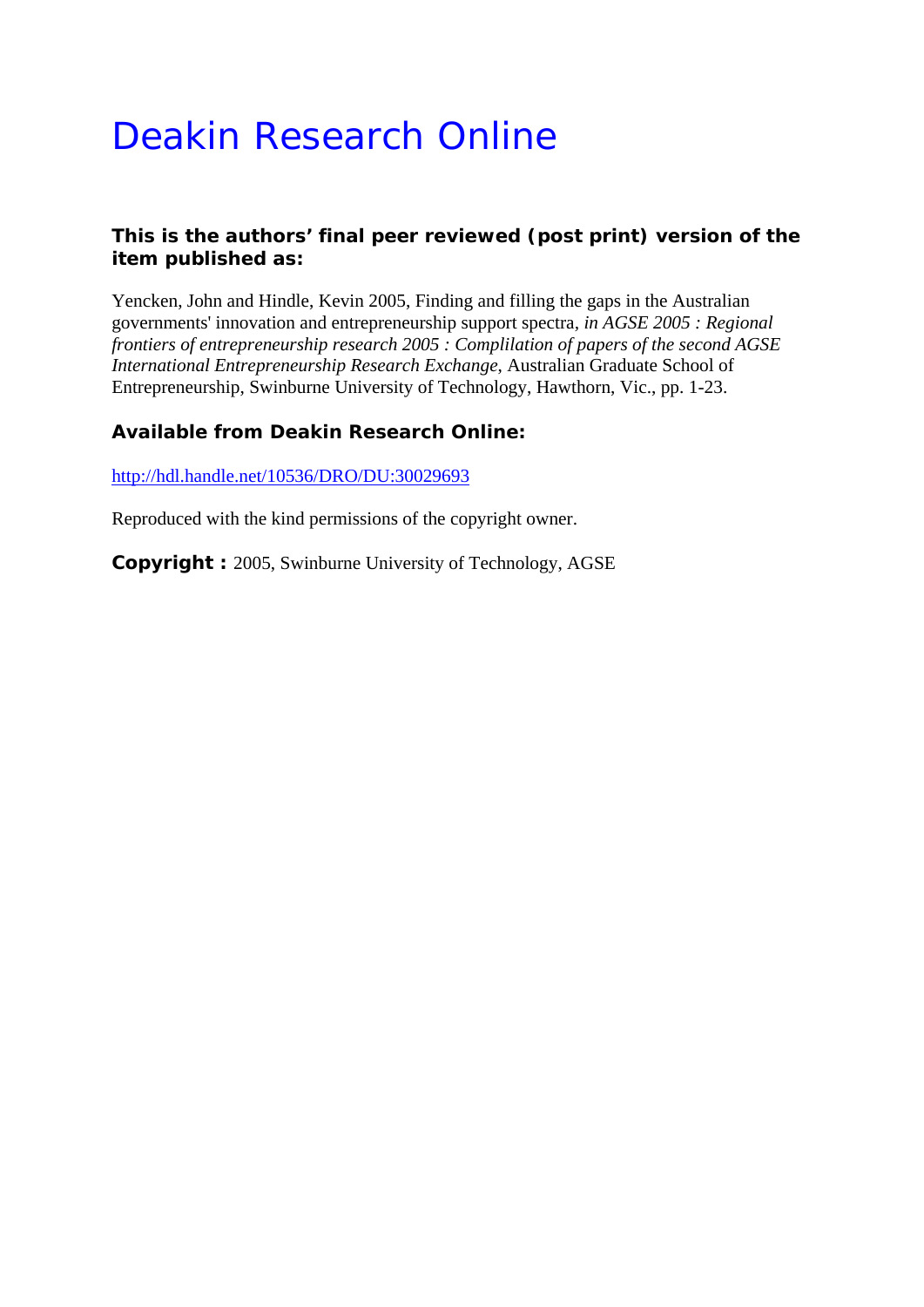# Deakin Research Online

## **This is the authors' final peer reviewed (post print) version of the item published as:**

Yencken, John and Hindle, Kevin 2005, Finding and filling the gaps in the Australian governments' innovation and entrepreneurship support spectra*, in AGSE 2005 : Regional frontiers of entrepreneurship research 2005 : Complilation of papers of the second AGSE International Entrepreneurship Research Exchange*, Australian Graduate School of Entrepreneurship, Swinburne University of Technology, Hawthorn, Vic., pp. 1-23.

## **Available from Deakin Research Online:**

http://hdl.handle.net/10536/DRO/DU:30029693

Reproduced with the kind permissions of the copyright owner.

**Copyright :** 2005, Swinburne University of Technology, AGSE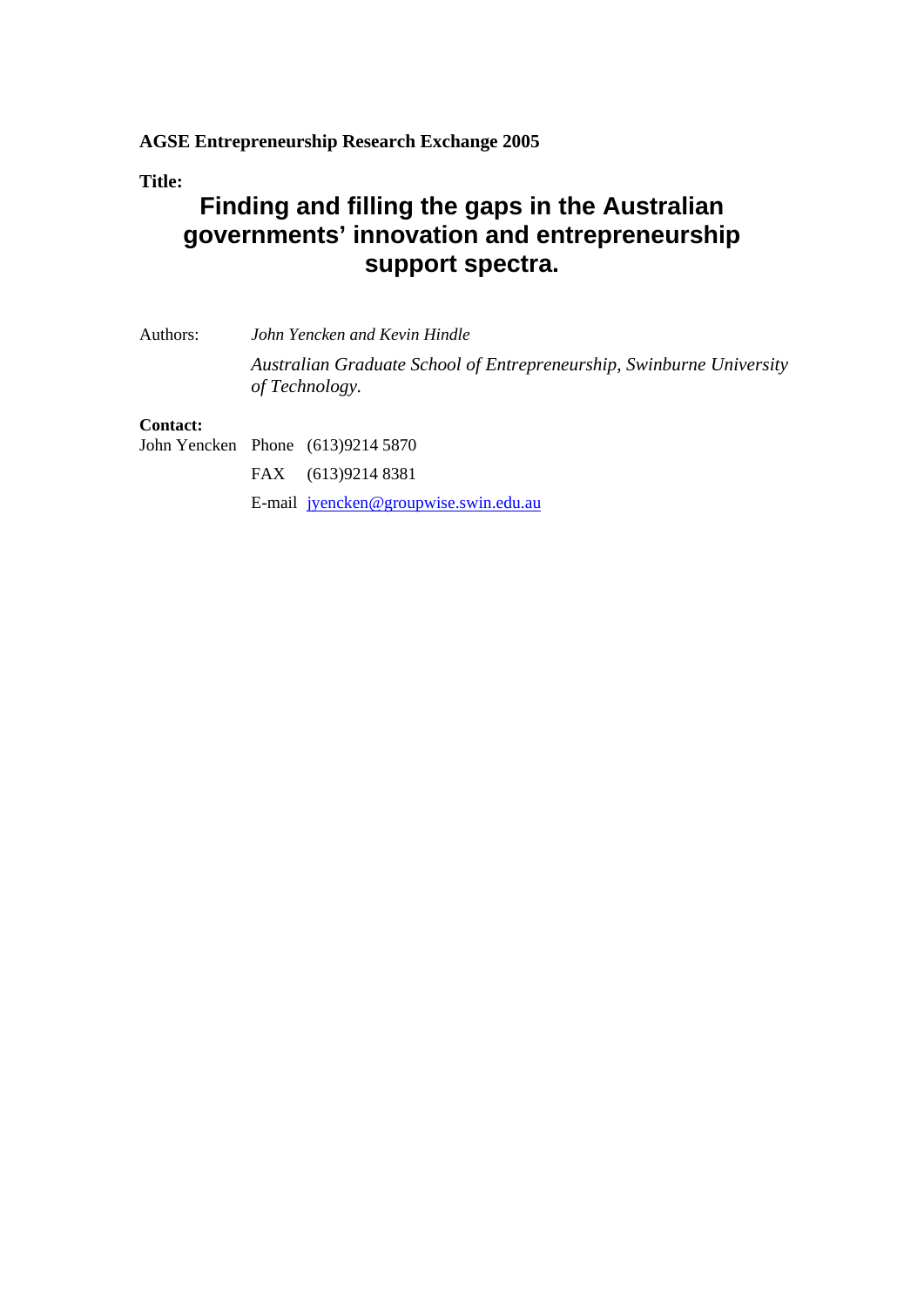### **AGSE Entrepreneurship Research Exchange 2005**

**Title:** 

## **Finding and filling the gaps in the Australian governments' innovation and entrepreneurship support spectra.**

Authors: *John Yencken and Kevin Hindle Australian Graduate School of Entrepreneurship, Swinburne University of Technology.* 

### **Contact:**

John Yencken Phone (613)9214 5870 FAX (613)9214 8381 E-mail jyencken@groupwise.swin.edu.au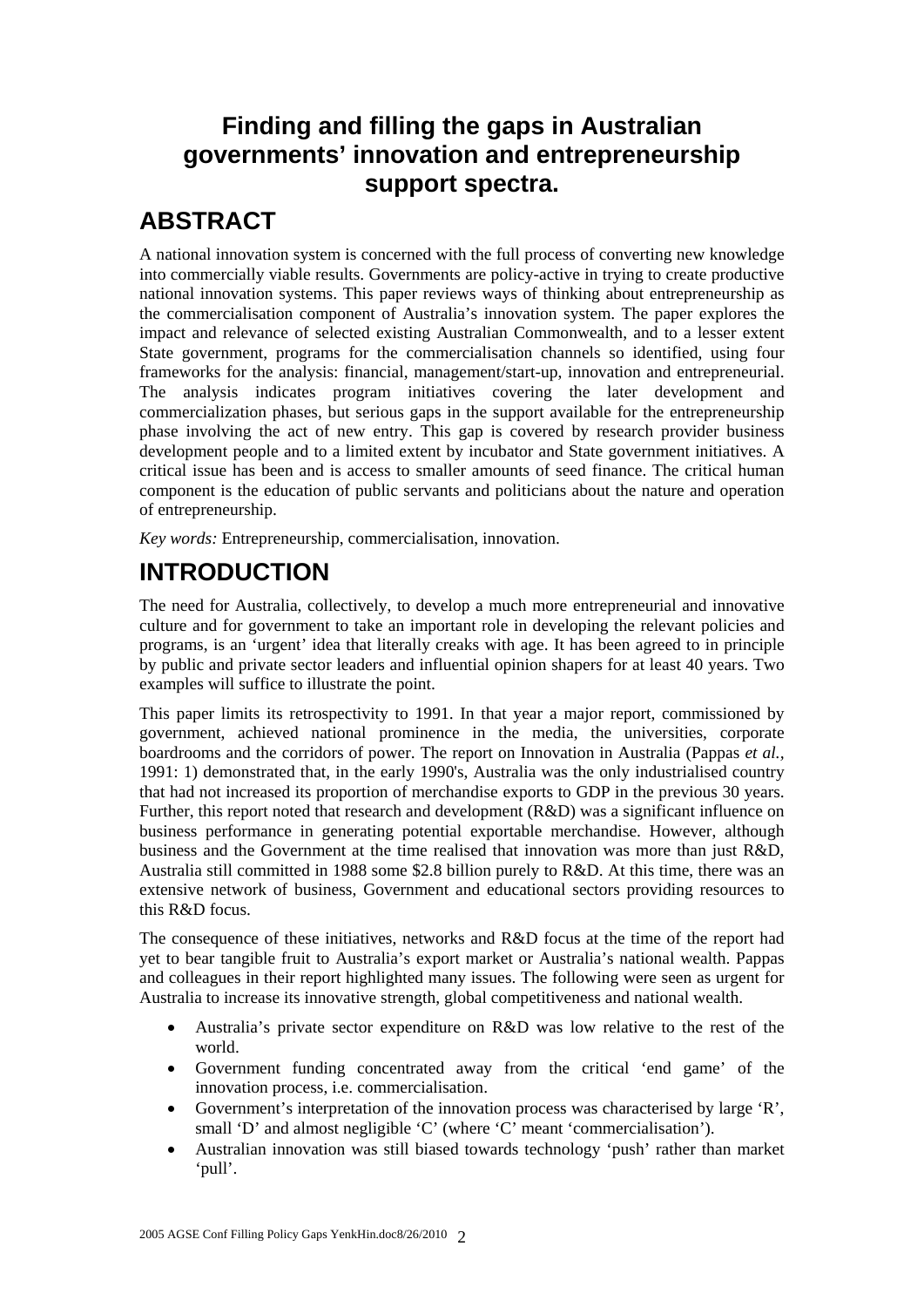## **Finding and filling the gaps in Australian governments' innovation and entrepreneurship support spectra.**

## **ABSTRACT**

A national innovation system is concerned with the full process of converting new knowledge into commercially viable results. Governments are policy-active in trying to create productive national innovation systems. This paper reviews ways of thinking about entrepreneurship as the commercialisation component of Australia's innovation system. The paper explores the impact and relevance of selected existing Australian Commonwealth, and to a lesser extent State government, programs for the commercialisation channels so identified, using four frameworks for the analysis: financial, management/start-up, innovation and entrepreneurial. The analysis indicates program initiatives covering the later development and commercialization phases, but serious gaps in the support available for the entrepreneurship phase involving the act of new entry. This gap is covered by research provider business development people and to a limited extent by incubator and State government initiatives. A critical issue has been and is access to smaller amounts of seed finance. The critical human component is the education of public servants and politicians about the nature and operation of entrepreneurship.

*Key words:* Entrepreneurship, commercialisation, innovation.

## **INTRODUCTION**

The need for Australia, collectively, to develop a much more entrepreneurial and innovative culture and for government to take an important role in developing the relevant policies and programs, is an 'urgent' idea that literally creaks with age. It has been agreed to in principle by public and private sector leaders and influential opinion shapers for at least 40 years. Two examples will suffice to illustrate the point.

This paper limits its retrospectivity to 1991. In that year a major report, commissioned by government, achieved national prominence in the media, the universities, corporate boardrooms and the corridors of power. The report on Innovation in Australia (Pappas *et al.,* 1991: 1) demonstrated that, in the early 1990's, Australia was the only industrialised country that had not increased its proportion of merchandise exports to GDP in the previous 30 years. Further, this report noted that research and development (R&D) was a significant influence on business performance in generating potential exportable merchandise. However, although business and the Government at the time realised that innovation was more than just R&D, Australia still committed in 1988 some \$2.8 billion purely to R&D. At this time, there was an extensive network of business, Government and educational sectors providing resources to this R&D focus.

The consequence of these initiatives, networks and R&D focus at the time of the report had yet to bear tangible fruit to Australia's export market or Australia's national wealth. Pappas and colleagues in their report highlighted many issues. The following were seen as urgent for Australia to increase its innovative strength, global competitiveness and national wealth.

- Australia's private sector expenditure on R&D was low relative to the rest of the world.
- Government funding concentrated away from the critical 'end game' of the innovation process, i.e. commercialisation.
- Government's interpretation of the innovation process was characterised by large 'R', small 'D' and almost negligible 'C' (where 'C' meant 'commercialisation').
- Australian innovation was still biased towards technology 'push' rather than market 'pull'.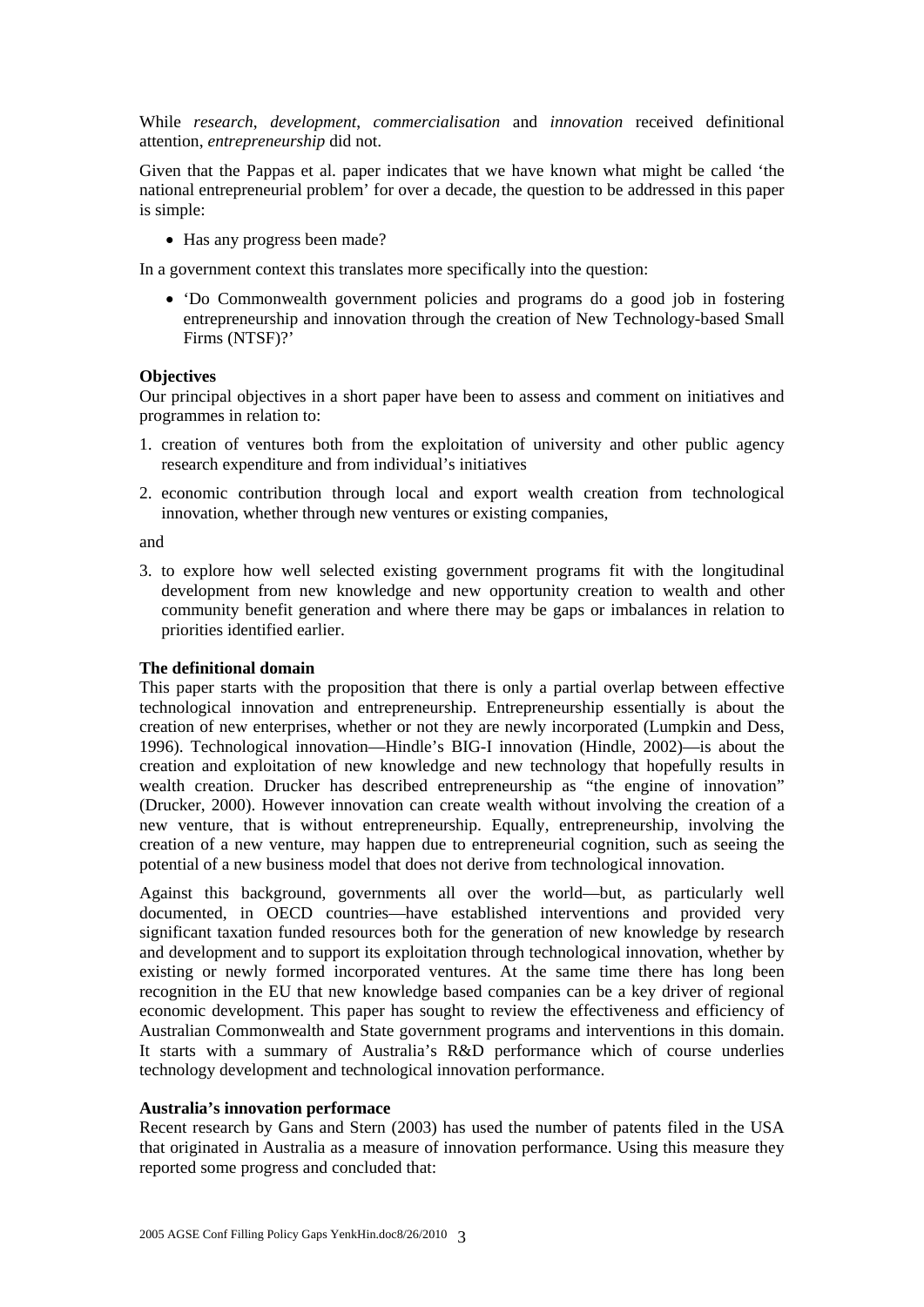While *research*, *development*, *commercialisation* and *innovation* received definitional attention, *entrepreneurship* did not.

Given that the Pappas et al. paper indicates that we have known what might be called 'the national entrepreneurial problem' for over a decade, the question to be addressed in this paper is simple:

• Has any progress been made?

In a government context this translates more specifically into the question:

 'Do Commonwealth government policies and programs do a good job in fostering entrepreneurship and innovation through the creation of New Technology-based Small Firms (NTSF)?'

#### **Objectives**

Our principal objectives in a short paper have been to assess and comment on initiatives and programmes in relation to:

- 1. creation of ventures both from the exploitation of university and other public agency research expenditure and from individual's initiatives
- 2. economic contribution through local and export wealth creation from technological innovation, whether through new ventures or existing companies,

and

3. to explore how well selected existing government programs fit with the longitudinal development from new knowledge and new opportunity creation to wealth and other community benefit generation and where there may be gaps or imbalances in relation to priorities identified earlier.

#### **The definitional domain**

This paper starts with the proposition that there is only a partial overlap between effective technological innovation and entrepreneurship. Entrepreneurship essentially is about the creation of new enterprises, whether or not they are newly incorporated (Lumpkin and Dess, 1996). Technological innovation—Hindle's BIG-I innovation (Hindle, 2002)—is about the creation and exploitation of new knowledge and new technology that hopefully results in wealth creation. Drucker has described entrepreneurship as "the engine of innovation" (Drucker, 2000). However innovation can create wealth without involving the creation of a new venture, that is without entrepreneurship. Equally, entrepreneurship, involving the creation of a new venture, may happen due to entrepreneurial cognition, such as seeing the potential of a new business model that does not derive from technological innovation.

Against this background, governments all over the world—but, as particularly well documented, in OECD countries—have established interventions and provided very significant taxation funded resources both for the generation of new knowledge by research and development and to support its exploitation through technological innovation, whether by existing or newly formed incorporated ventures. At the same time there has long been recognition in the EU that new knowledge based companies can be a key driver of regional economic development. This paper has sought to review the effectiveness and efficiency of Australian Commonwealth and State government programs and interventions in this domain. It starts with a summary of Australia's R&D performance which of course underlies technology development and technological innovation performance.

#### **Australia's innovation performace**

Recent research by Gans and Stern (2003) has used the number of patents filed in the USA that originated in Australia as a measure of innovation performance. Using this measure they reported some progress and concluded that: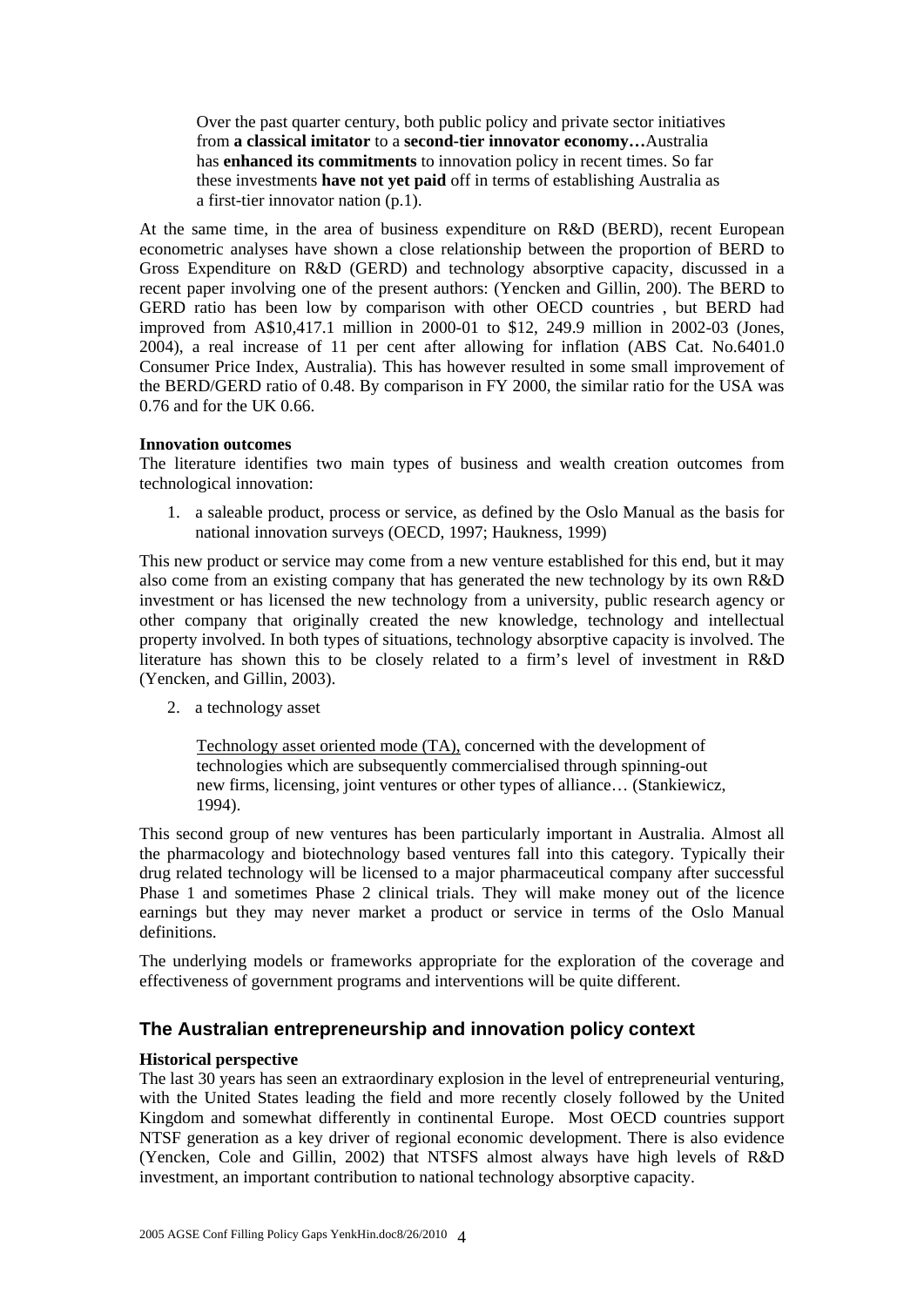Over the past quarter century, both public policy and private sector initiatives from **a classical imitator** to a **second-tier innovator economy…**Australia has **enhanced its commitments** to innovation policy in recent times. So far these investments **have not yet paid** off in terms of establishing Australia as a first-tier innovator nation (p.1).

At the same time, in the area of business expenditure on R&D (BERD), recent European econometric analyses have shown a close relationship between the proportion of BERD to Gross Expenditure on R&D (GERD) and technology absorptive capacity, discussed in a recent paper involving one of the present authors: (Yencken and Gillin, 200). The BERD to GERD ratio has been low by comparison with other OECD countries , but BERD had improved from A\$10,417.1 million in 2000-01 to \$12, 249.9 million in 2002-03 (Jones, 2004), a real increase of 11 per cent after allowing for inflation (ABS Cat. No.6401.0 Consumer Price Index, Australia). This has however resulted in some small improvement of the BERD/GERD ratio of 0.48. By comparison in FY 2000, the similar ratio for the USA was 0.76 and for the UK 0.66.

#### **Innovation outcomes**

The literature identifies two main types of business and wealth creation outcomes from technological innovation:

1. a saleable product, process or service, as defined by the Oslo Manual as the basis for national innovation surveys (OECD, 1997; Haukness, 1999)

This new product or service may come from a new venture established for this end, but it may also come from an existing company that has generated the new technology by its own R&D investment or has licensed the new technology from a university, public research agency or other company that originally created the new knowledge, technology and intellectual property involved. In both types of situations, technology absorptive capacity is involved. The literature has shown this to be closely related to a firm's level of investment in R&D (Yencken, and Gillin, 2003).

2. a technology asset

Technology asset oriented mode (TA), concerned with the development of technologies which are subsequently commercialised through spinning-out new firms, licensing, joint ventures or other types of alliance… (Stankiewicz, 1994).

This second group of new ventures has been particularly important in Australia. Almost all the pharmacology and biotechnology based ventures fall into this category. Typically their drug related technology will be licensed to a major pharmaceutical company after successful Phase 1 and sometimes Phase 2 clinical trials. They will make money out of the licence earnings but they may never market a product or service in terms of the Oslo Manual definitions.

The underlying models or frameworks appropriate for the exploration of the coverage and effectiveness of government programs and interventions will be quite different.

### **The Australian entrepreneurship and innovation policy context**

#### **Historical perspective**

The last 30 years has seen an extraordinary explosion in the level of entrepreneurial venturing, with the United States leading the field and more recently closely followed by the United Kingdom and somewhat differently in continental Europe. Most OECD countries support NTSF generation as a key driver of regional economic development. There is also evidence (Yencken, Cole and Gillin, 2002) that NTSFS almost always have high levels of R&D investment, an important contribution to national technology absorptive capacity.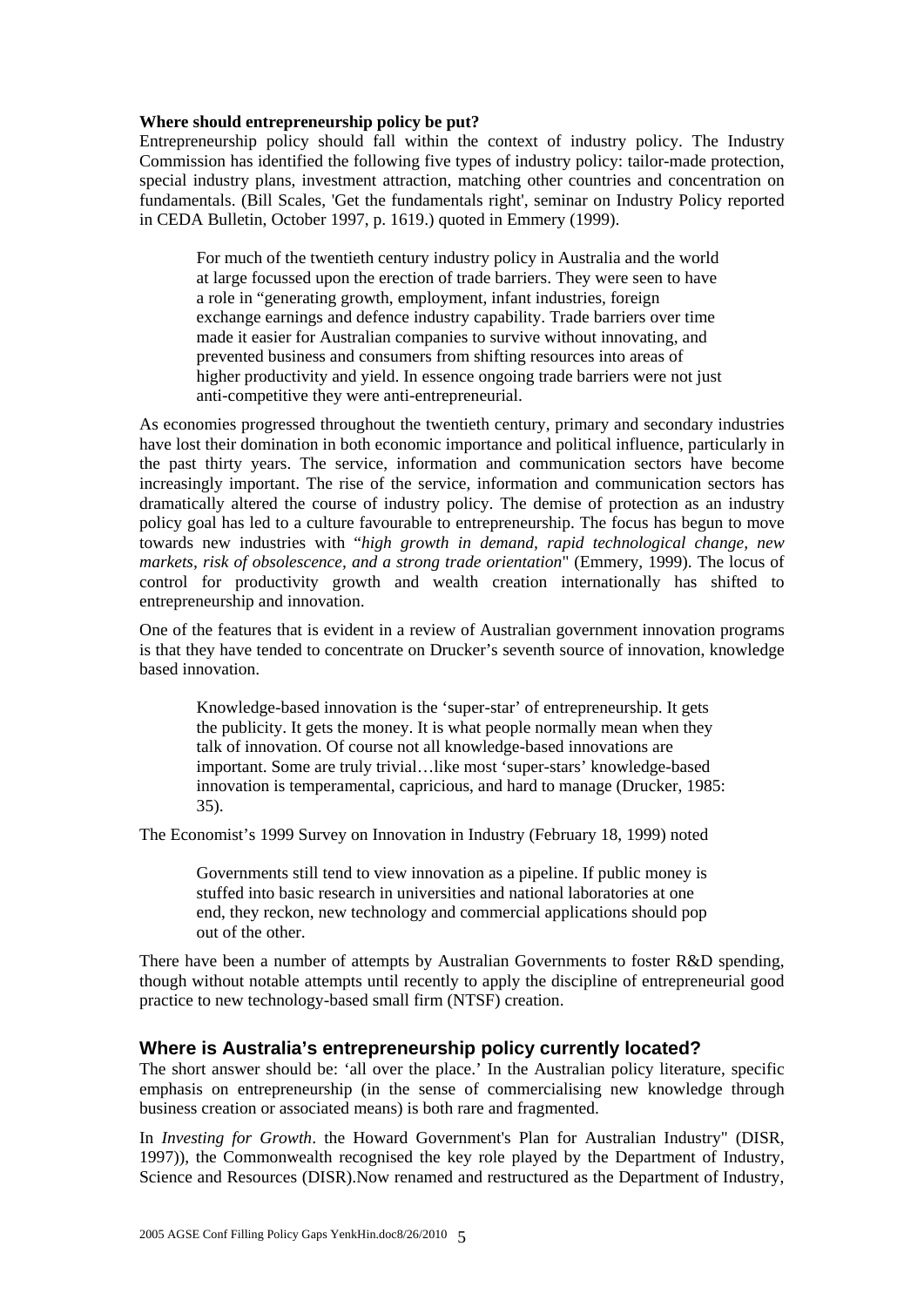#### **Where should entrepreneurship policy be put?**

Entrepreneurship policy should fall within the context of industry policy. The Industry Commission has identified the following five types of industry policy: tailor-made protection, special industry plans, investment attraction, matching other countries and concentration on fundamentals. (Bill Scales, 'Get the fundamentals right', seminar on Industry Policy reported in CEDA Bulletin, October 1997, p. 1619.) quoted in Emmery (1999).

For much of the twentieth century industry policy in Australia and the world at large focussed upon the erection of trade barriers. They were seen to have a role in "generating growth, employment, infant industries, foreign exchange earnings and defence industry capability. Trade barriers over time made it easier for Australian companies to survive without innovating, and prevented business and consumers from shifting resources into areas of higher productivity and yield. In essence ongoing trade barriers were not just anti-competitive they were anti-entrepreneurial.

As economies progressed throughout the twentieth century, primary and secondary industries have lost their domination in both economic importance and political influence, particularly in the past thirty years. The service, information and communication sectors have become increasingly important. The rise of the service, information and communication sectors has dramatically altered the course of industry policy. The demise of protection as an industry policy goal has led to a culture favourable to entrepreneurship. The focus has begun to move towards new industries with "*high growth in demand, rapid technological change, new markets, risk of obsolescence, and a strong trade orientation*" (Emmery, 1999). The locus of control for productivity growth and wealth creation internationally has shifted to entrepreneurship and innovation.

One of the features that is evident in a review of Australian government innovation programs is that they have tended to concentrate on Drucker's seventh source of innovation, knowledge based innovation.

Knowledge-based innovation is the 'super-star' of entrepreneurship. It gets the publicity. It gets the money. It is what people normally mean when they talk of innovation. Of course not all knowledge-based innovations are important. Some are truly trivial…like most 'super-stars' knowledge-based innovation is temperamental, capricious, and hard to manage (Drucker, 1985: 35).

The Economist's 1999 Survey on Innovation in Industry (February 18, 1999) noted

Governments still tend to view innovation as a pipeline. If public money is stuffed into basic research in universities and national laboratories at one end, they reckon, new technology and commercial applications should pop out of the other.

There have been a number of attempts by Australian Governments to foster R&D spending, though without notable attempts until recently to apply the discipline of entrepreneurial good practice to new technology-based small firm (NTSF) creation.

#### **Where is Australia's entrepreneurship policy currently located?**

The short answer should be: 'all over the place.' In the Australian policy literature, specific emphasis on entrepreneurship (in the sense of commercialising new knowledge through business creation or associated means) is both rare and fragmented.

In *Investing for Growth*. the Howard Government's Plan for Australian Industry" (DISR, 1997)), the Commonwealth recognised the key role played by the Department of Industry, Science and Resources (DISR).Now renamed and restructured as the Department of Industry,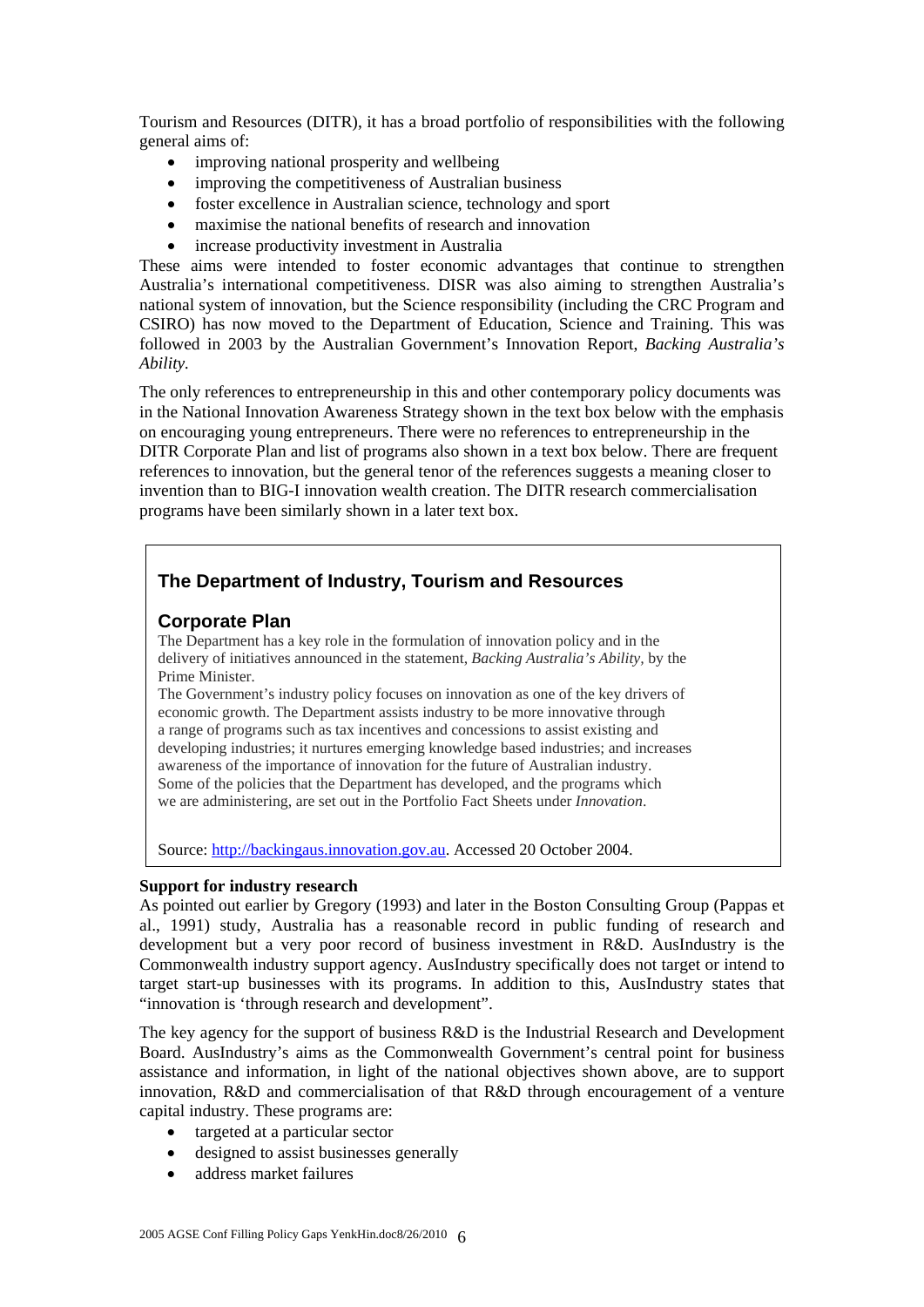Tourism and Resources (DITR), it has a broad portfolio of responsibilities with the following general aims of:

- improving national prosperity and wellbeing
- improving the competitiveness of Australian business
- foster excellence in Australian science, technology and sport
- maximise the national benefits of research and innovation
- increase productivity investment in Australia

These aims were intended to foster economic advantages that continue to strengthen Australia's international competitiveness. DISR was also aiming to strengthen Australia's national system of innovation, but the Science responsibility (including the CRC Program and CSIRO) has now moved to the Department of Education, Science and Training. This was followed in 2003 by the Australian Government's Innovation Report, *Backing Australia's Ability.* 

The only references to entrepreneurship in this and other contemporary policy documents was in the National Innovation Awareness Strategy shown in the text box below with the emphasis on encouraging young entrepreneurs. There were no references to entrepreneurship in the DITR Corporate Plan and list of programs also shown in a text box below. There are frequent references to innovation, but the general tenor of the references suggests a meaning closer to invention than to BIG-I innovation wealth creation. The DITR research commercialisation programs have been similarly shown in a later text box.

### **The Department of Industry, Tourism and Resources**

### **Corporate Plan**

The Department has a key role in the formulation of innovation policy and in the delivery of initiatives announced in the statement, *Backing Australia's Ability,* by the Prime Minister*.* 

The Government's industry policy focuses on innovation as one of the key drivers of economic growth. The Department assists industry to be more innovative through a range of programs such as tax incentives and concessions to assist existing and developing industries; it nurtures emerging knowledge based industries; and increases awareness of the importance of innovation for the future of Australian industry. Some of the policies that the Department has developed, and the programs which we are administering, are set out in the Portfolio Fact Sheets under *Innovation*.

Source: http://backingaus.innovation.gov.au. Accessed 20 October 2004.

#### **Support for industry research**

As pointed out earlier by Gregory (1993) and later in the Boston Consulting Group (Pappas et al., 1991) study, Australia has a reasonable record in public funding of research and development but a very poor record of business investment in R&D. AusIndustry is the Commonwealth industry support agency. AusIndustry specifically does not target or intend to target start-up businesses with its programs. In addition to this, AusIndustry states that "innovation is 'through research and development".

The key agency for the support of business R&D is the Industrial Research and Development Board. AusIndustry's aims as the Commonwealth Government's central point for business assistance and information, in light of the national objectives shown above, are to support innovation, R&D and commercialisation of that R&D through encouragement of a venture capital industry. These programs are:

- targeted at a particular sector
- designed to assist businesses generally
- address market failures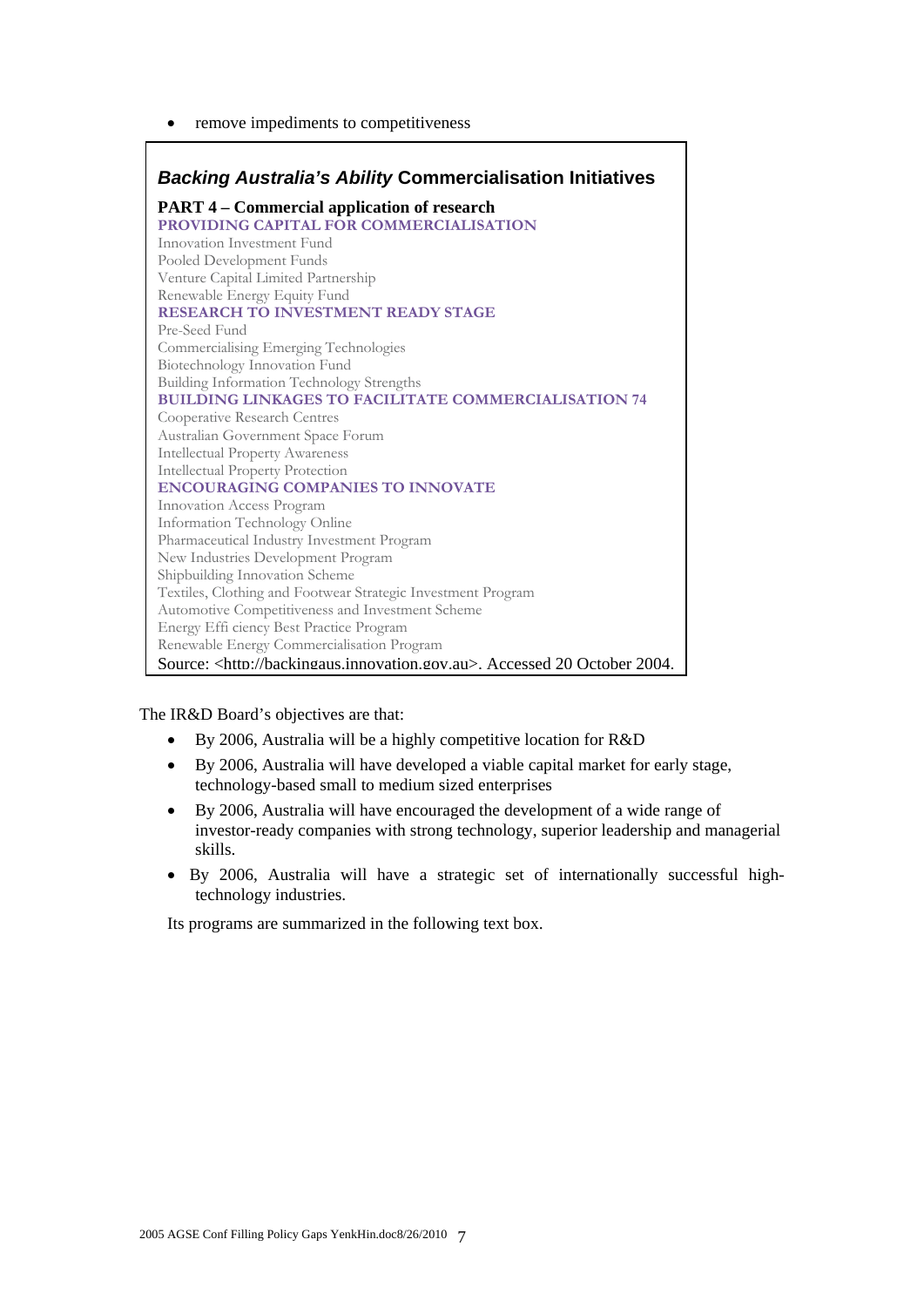• remove impediments to competitiveness

| <b>Backing Australia's Ability Commercialisation Initiatives</b>                   |
|------------------------------------------------------------------------------------|
| <b>PART 4 – Commercial application of research</b>                                 |
| PROVIDING CAPITAL FOR COMMERCIALISATION                                            |
| Innovation Investment Fund                                                         |
| Pooled Development Funds                                                           |
| Venture Capital Limited Partnership                                                |
| Renewable Energy Equity Fund                                                       |
| RESEARCH TO INVESTMENT READY STAGE                                                 |
| Pre-Seed Fund                                                                      |
| Commercialising Emerging Technologies                                              |
| Biotechnology Innovation Fund                                                      |
| Building Information Technology Strengths                                          |
| <b>BUILDING LINKAGES TO FACILITATE COMMERCIALISATION 74</b>                        |
| Cooperative Research Centres                                                       |
| Australian Government Space Forum                                                  |
| <b>Intellectual Property Awareness</b>                                             |
| <b>Intellectual Property Protection</b>                                            |
| <b>ENCOURAGING COMPANIES TO INNOVATE</b>                                           |
| Innovation Access Program                                                          |
| Information Technology Online                                                      |
| Pharmaceutical Industry Investment Program                                         |
| New Industries Development Program                                                 |
| Shipbuilding Innovation Scheme                                                     |
| Textiles, Clothing and Footwear Strategic Investment Program                       |
| Automotive Competitiveness and Investment Scheme                                   |
| Energy Effi ciency Best Practice Program                                           |
| Renewable Energy Commercialisation Program                                         |
| Source: <http: backingaus.innovation.gov.au="">. Accessed 20 October 2004.</http:> |

The IR&D Board's objectives are that:

- By 2006, Australia will be a highly competitive location for R&D
- By 2006, Australia will have developed a viable capital market for early stage, technology-based small to medium sized enterprises
- By 2006, Australia will have encouraged the development of a wide range of investor-ready companies with strong technology, superior leadership and managerial skills.
- By 2006, Australia will have a strategic set of internationally successful hightechnology industries.

Its programs are summarized in the following text box.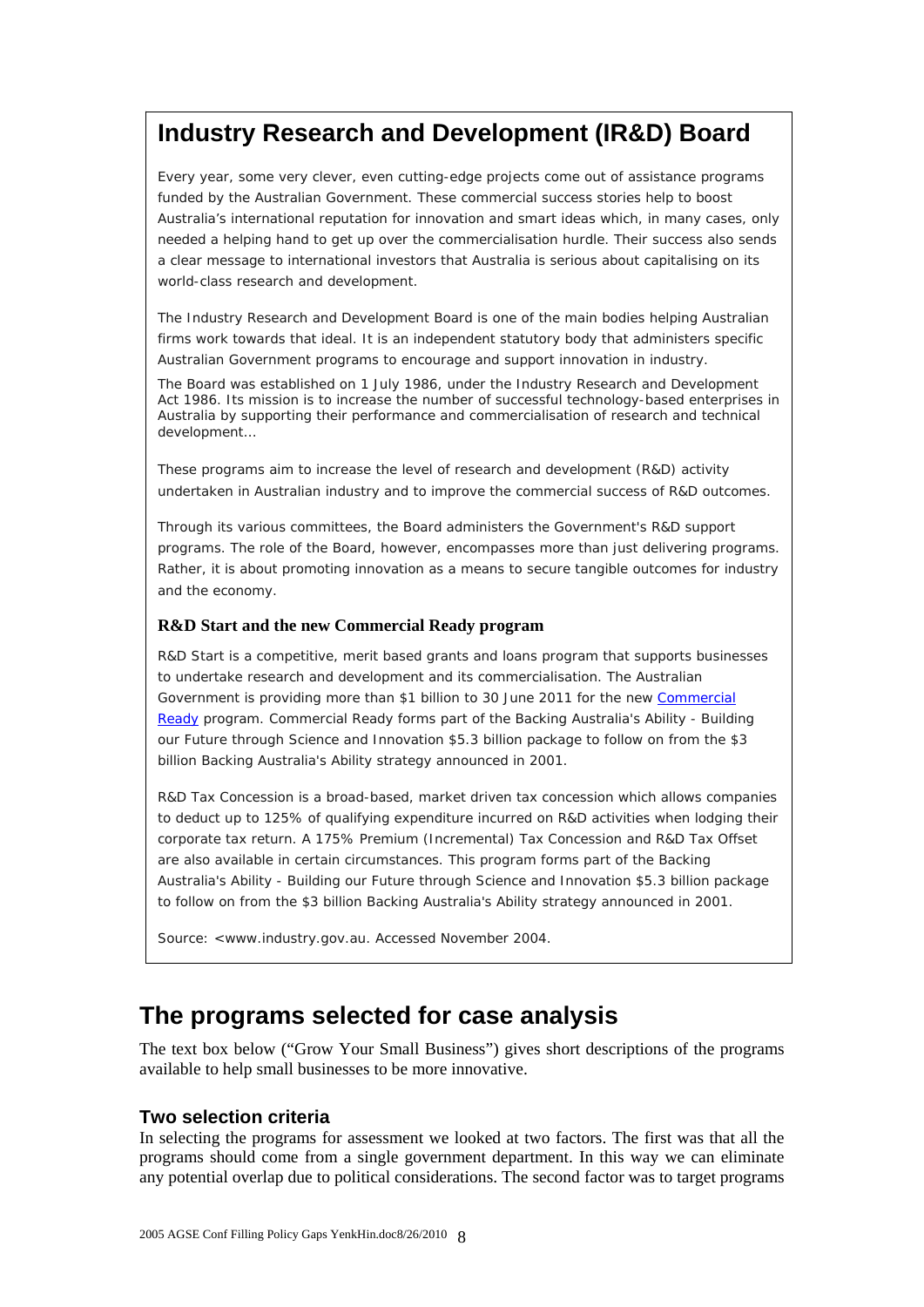## **Industry Research and Development (IR&D) Board**

Every year, some very clever, even cutting-edge projects come out of assistance programs funded by the Australian Government. These commercial success stories help to boost Australia's international reputation for innovation and smart ideas which, in many cases, only needed a helping hand to get up over the commercialisation hurdle. Their success also sends a clear message to international investors that Australia is serious about capitalising on its world-class research and development.

The Industry Research and Development Board is one of the main bodies helping Australian firms work towards that ideal. It is an independent statutory body that administers specific Australian Government programs to encourage and support innovation in industry.

The Board was established on 1 July 1986, under the *Industry Research and Development Act 1986*. Its mission is to increase the number of successful technology-based enterprises in Australia by supporting their performance and commercialisation of research and technical development…

These programs aim to increase the level of research and development (R&D) activity undertaken in Australian industry and to improve the commercial success of R&D outcomes.

Through its various committees, the Board administers the Government's R&D support programs. The role of the Board, however, encompasses more than just delivering programs. Rather, it is about promoting innovation as a means to secure tangible outcomes for industry and the economy.

#### **R&D Start and the new Commercial Ready program**

R&D Start is a competitive, merit based grants and loans program that supports businesses to undertake research and development and its commercialisation. The Australian Government is providing more than \$1 billion to 30 June 2011 for the new Commercial Ready program. Commercial Ready forms part of the Backing Australia's Ability - Building our Future through Science and Innovation \$5.3 billion package to follow on from the \$3 billion Backing Australia's Ability strategy announced in 2001.

R&D Tax Concession is a broad-based, market driven tax concession which allows companies to deduct up to 125% of qualifying expenditure incurred on R&D activities when lodging their corporate tax return. A 175% Premium (Incremental) Tax Concession and R&D Tax Offset are also available in certain circumstances. This program forms part of the Backing Australia's Ability - Building our Future through Science and Innovation \$5.3 billion package to follow on from the \$3 billion Backing Australia's Ability strategy announced in 2001.

Source: <www.industry.gov.au. Accessed November 2004.

## **The programs selected for case analysis**

The text box below ("Grow Your Small Business") gives short descriptions of the programs available to help small businesses to be more innovative.

### **Two selection criteria**

In selecting the programs for assessment we looked at two factors. The first was that all the programs should come from a single government department. In this way we can eliminate any potential overlap due to political considerations. The second factor was to target programs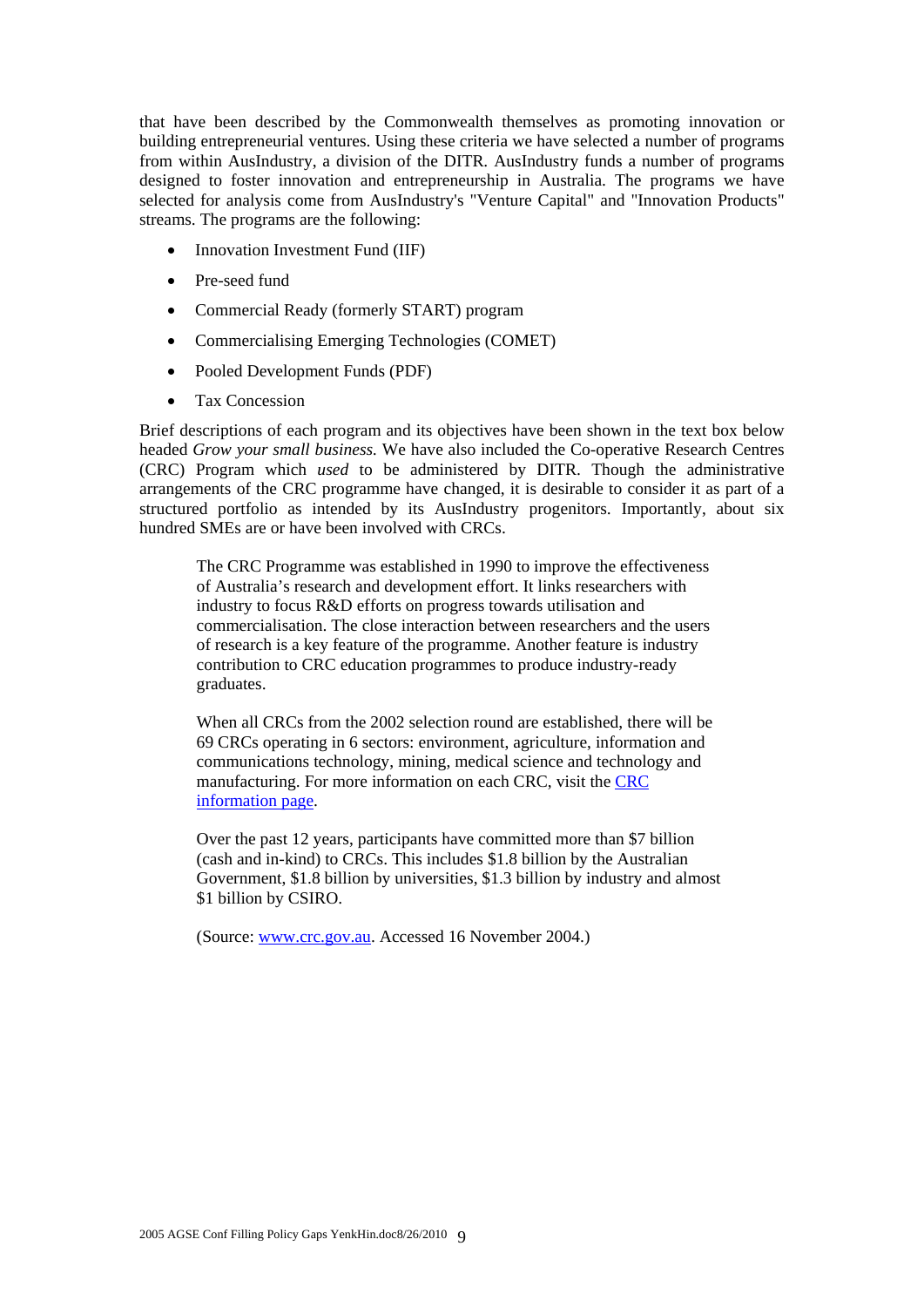that have been described by the Commonwealth themselves as promoting innovation or building entrepreneurial ventures. Using these criteria we have selected a number of programs from within AusIndustry, a division of the DITR. AusIndustry funds a number of programs designed to foster innovation and entrepreneurship in Australia. The programs we have selected for analysis come from AusIndustry's "Venture Capital" and "Innovation Products" streams. The programs are the following:

- Innovation Investment Fund (IIF)
- Pre-seed fund
- Commercial Ready (formerly START) program
- Commercialising Emerging Technologies (COMET)
- Pooled Development Funds (PDF)
- Tax Concession

Brief descriptions of each program and its objectives have been shown in the text box below headed *Grow your small business.* We have also included the Co-operative Research Centres (CRC) Program which *used* to be administered by DITR. Though the administrative arrangements of the CRC programme have changed, it is desirable to consider it as part of a structured portfolio as intended by its AusIndustry progenitors. Importantly, about six hundred SMEs are or have been involved with CRCs.

The CRC Programme was established in 1990 to improve the effectiveness of Australia's research and development effort. It links researchers with industry to focus R&D efforts on progress towards utilisation and commercialisation. The close interaction between researchers and the users of research is a key feature of the programme. Another feature is industry contribution to CRC education programmes to produce industry-ready graduates.

When all CRCs from the 2002 selection round are established, there will be 69 CRCs operating in 6 sectors: environment, agriculture, information and communications technology, mining, medical science and technology and manufacturing. For more information on each CRC, visit the CRC information page.

Over the past 12 years, participants have committed more than \$7 billion (cash and in-kind) to CRCs. This includes \$1.8 billion by the Australian Government, \$1.8 billion by universities, \$1.3 billion by industry and almost \$1 billion by CSIRO.

(Source: www.crc.gov.au. Accessed 16 November 2004.)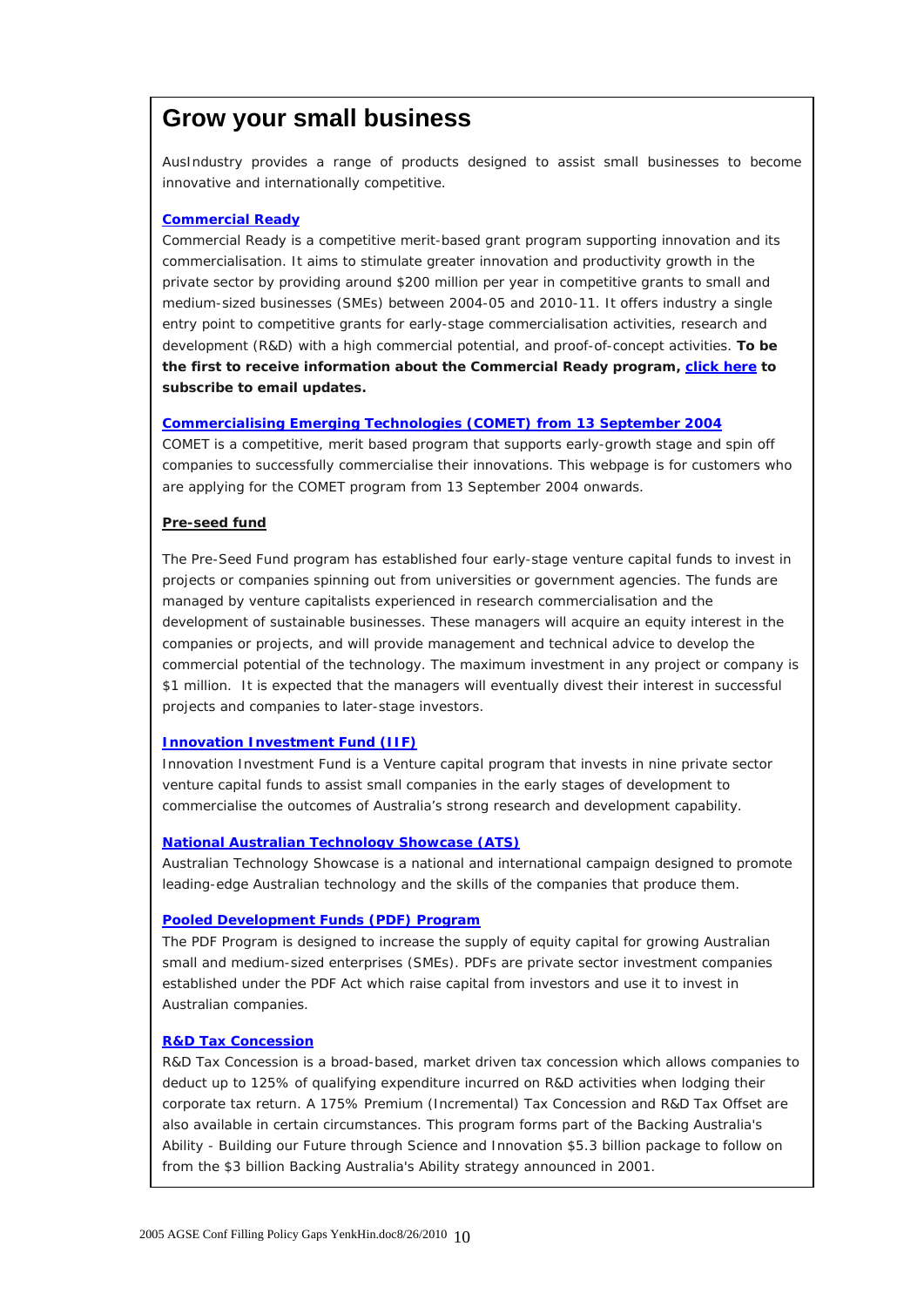## **Grow your small business**

AusIndustry provides a range of products designed to assist small businesses to become innovative and internationally competitive.

#### **Commercial Ready**

Commercial Ready is a competitive merit-based grant program supporting innovation and its commercialisation. It aims to stimulate greater innovation and productivity growth in the private sector by providing around \$200 million per year in competitive grants to small and medium-sized businesses (SMEs) between 2004-05 and 2010-11. It offers industry a single entry point to competitive grants for early-stage commercialisation activities, research and development (R&D) with a high commercial potential, and proof-of-concept activities. **To be the first to receive information about the Commercial Ready program, click here to subscribe to email updates.**

#### **Commercialising Emerging Technologies (COMET) from 13 September 2004**

COMET is a competitive, merit based program that supports early-growth stage and spin off companies to successfully commercialise their innovations. This webpage is for customers who are applying for the COMET program from 13 September 2004 onwards.

#### **Pre-seed fund**

The Pre-Seed Fund program has established four early-stage venture capital funds to invest in projects or companies spinning out from universities or government agencies. The funds are managed by venture capitalists experienced in research commercialisation and the development of sustainable businesses. These managers will acquire an equity interest in the companies or projects, and will provide management and technical advice to develop the commercial potential of the technology. The maximum investment in any project or company is \$1 million. It is expected that the managers will eventually divest their interest in successful projects and companies to later-stage investors.

#### **Innovation Investment Fund (IIF)**

Innovation Investment Fund is a Venture capital program that invests in nine private sector venture capital funds to assist small companies in the early stages of development to commercialise the outcomes of Australia's strong research and development capability.

#### **National Australian Technology Showcase (ATS)**

Australian Technology Showcase is a national and international campaign designed to promote leading-edge Australian technology and the skills of the companies that produce them.

#### **Pooled Development Funds (PDF) Program**

The PDF Program is designed to increase the supply of equity capital for growing Australian small and medium-sized enterprises (SMEs). PDFs are private sector investment companies established under the PDF Act which raise capital from investors and use it to invest in Australian companies.

#### **R&D Tax Concession**

R&D Tax Concession is a broad-based, market driven tax concession which allows companies to deduct up to 125% of qualifying expenditure incurred on R&D activities when lodging their corporate tax return. A 175% Premium (Incremental) Tax Concession and R&D Tax Offset are also available in certain circumstances. This program forms part of the Backing Australia's Ability - Building our Future through Science and Innovation \$5.3 billion package to follow on from the \$3 billion Backing Australia's Ability strategy announced in 2001.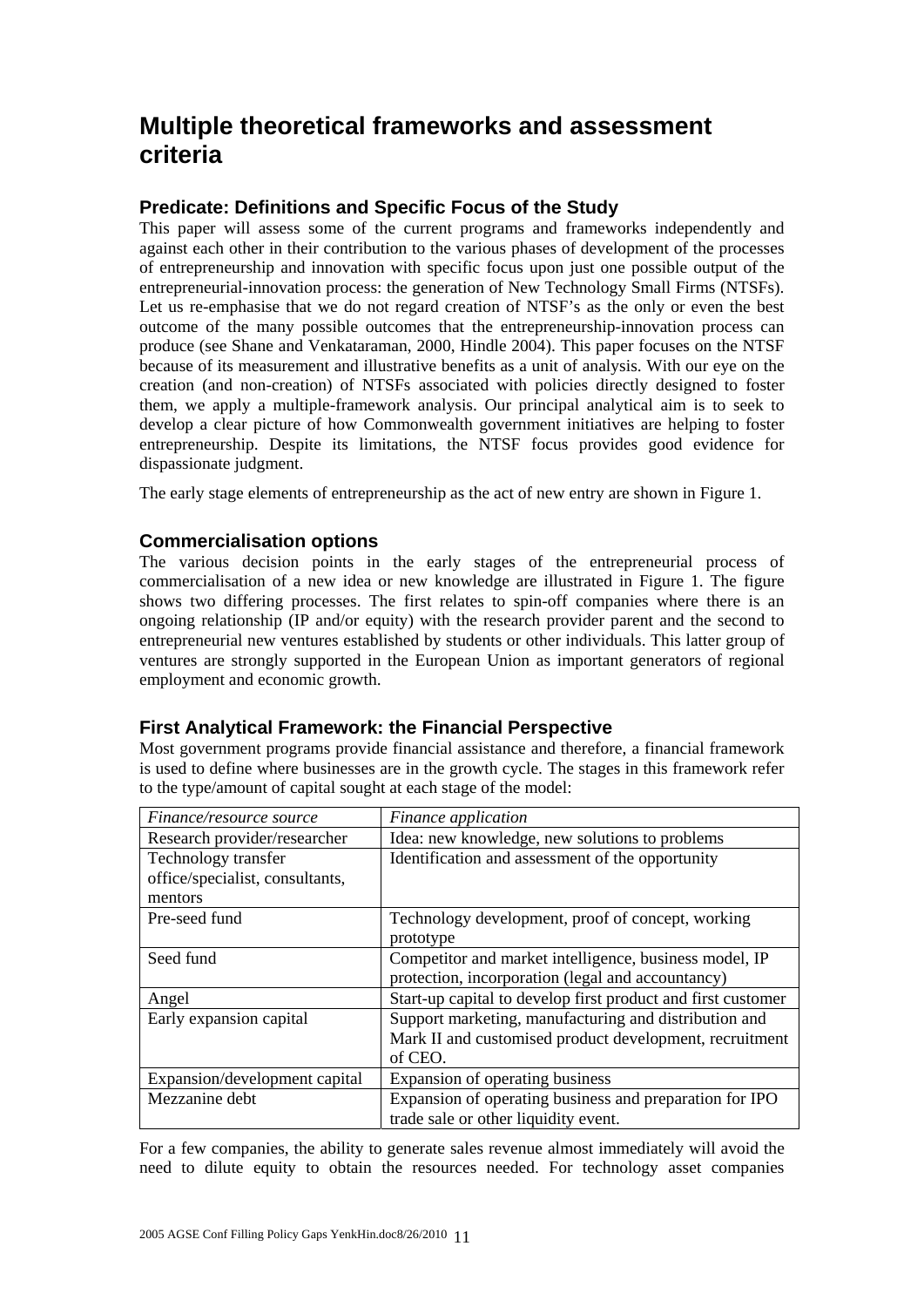## **Multiple theoretical frameworks and assessment criteria**

## **Predicate: Definitions and Specific Focus of the Study**

This paper will assess some of the current programs and frameworks independently and against each other in their contribution to the various phases of development of the processes of entrepreneurship and innovation with specific focus upon just one possible output of the entrepreneurial-innovation process: the generation of New Technology Small Firms (NTSFs). Let us re-emphasise that we do not regard creation of NTSF's as the only or even the best outcome of the many possible outcomes that the entrepreneurship-innovation process can produce (see Shane and Venkataraman, 2000, Hindle 2004). This paper focuses on the NTSF because of its measurement and illustrative benefits as a unit of analysis. With our eye on the creation (and non-creation) of NTSFs associated with policies directly designed to foster them, we apply a multiple-framework analysis. Our principal analytical aim is to seek to develop a clear picture of how Commonwealth government initiatives are helping to foster entrepreneurship. Despite its limitations, the NTSF focus provides good evidence for dispassionate judgment.

The early stage elements of entrepreneurship as the act of new entry are shown in Figure 1.

### **Commercialisation options**

The various decision points in the early stages of the entrepreneurial process of commercialisation of a new idea or new knowledge are illustrated in Figure 1. The figure shows two differing processes. The first relates to spin-off companies where there is an ongoing relationship (IP and/or equity) with the research provider parent and the second to entrepreneurial new ventures established by students or other individuals. This latter group of ventures are strongly supported in the European Union as important generators of regional employment and economic growth.

### **First Analytical Framework: the Financial Perspective**

Most government programs provide financial assistance and therefore, a financial framework is used to define where businesses are in the growth cycle. The stages in this framework refer to the type/amount of capital sought at each stage of the model:

| Finance/resource source         | Finance application                                          |
|---------------------------------|--------------------------------------------------------------|
| Research provider/researcher    | Idea: new knowledge, new solutions to problems               |
| Technology transfer             | Identification and assessment of the opportunity             |
| office/specialist, consultants, |                                                              |
| mentors                         |                                                              |
| Pre-seed fund                   | Technology development, proof of concept, working            |
|                                 | prototype                                                    |
| Seed fund                       | Competitor and market intelligence, business model, IP       |
|                                 | protection, incorporation (legal and accountancy)            |
| Angel                           | Start-up capital to develop first product and first customer |
| Early expansion capital         | Support marketing, manufacturing and distribution and        |
|                                 | Mark II and customised product development, recruitment      |
|                                 | of CEO.                                                      |
| Expansion/development capital   | Expansion of operating business                              |
| Mezzanine debt                  | Expansion of operating business and preparation for IPO      |
|                                 | trade sale or other liquidity event.                         |

For a few companies, the ability to generate sales revenue almost immediately will avoid the need to dilute equity to obtain the resources needed. For technology asset companies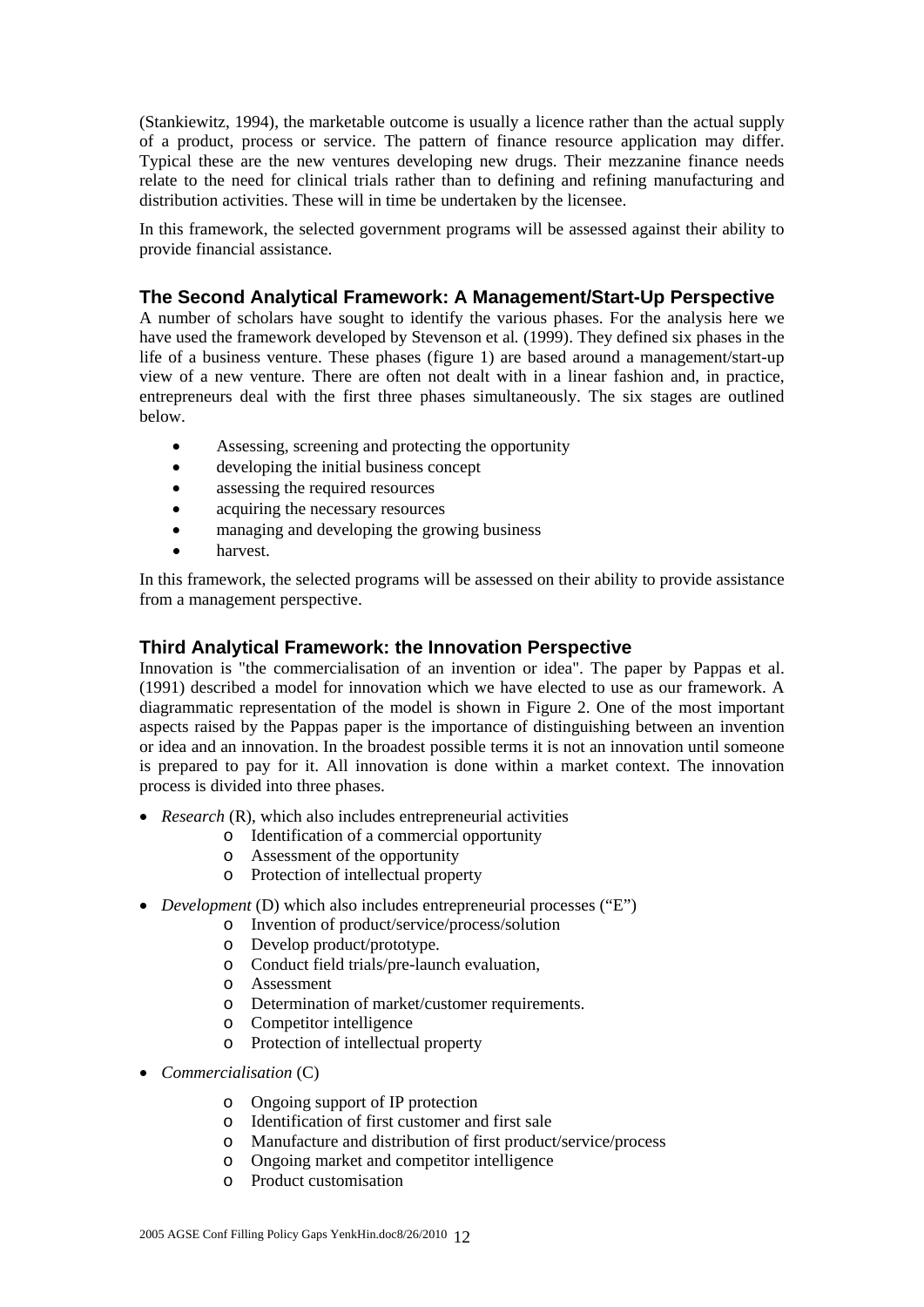(Stankiewitz, 1994), the marketable outcome is usually a licence rather than the actual supply of a product, process or service. The pattern of finance resource application may differ. Typical these are the new ventures developing new drugs. Their mezzanine finance needs relate to the need for clinical trials rather than to defining and refining manufacturing and distribution activities. These will in time be undertaken by the licensee.

In this framework, the selected government programs will be assessed against their ability to provide financial assistance.

### **The Second Analytical Framework: A Management/Start-Up Perspective**

A number of scholars have sought to identify the various phases. For the analysis here we have used the framework developed by Stevenson et al*.* (1999). They defined six phases in the life of a business venture. These phases (figure 1) are based around a management/start-up view of a new venture. There are often not dealt with in a linear fashion and, in practice, entrepreneurs deal with the first three phases simultaneously. The six stages are outlined below.

- Assessing, screening and protecting the opportunity
- developing the initial business concept
- assessing the required resources
- acquiring the necessary resources
- managing and developing the growing business
- harvest.

In this framework, the selected programs will be assessed on their ability to provide assistance from a management perspective.

### **Third Analytical Framework: the Innovation Perspective**

Innovation is "the commercialisation of an invention or idea". The paper by Pappas et al. (1991) described a model for innovation which we have elected to use as our framework. A diagrammatic representation of the model is shown in Figure 2. One of the most important aspects raised by the Pappas paper is the importance of distinguishing between an invention or idea and an innovation. In the broadest possible terms it is not an innovation until someone is prepared to pay for it. All innovation is done within a market context. The innovation process is divided into three phases.

- *Research* (R), which also includes entrepreneurial activities
	- o Identification of a commercial opportunity
		- o Assessment of the opportunity
		- o Protection of intellectual property
- *Development* (D) which also includes entrepreneurial processes ("E")
	- o Invention of product/service/process/solution
	- o Develop product/prototype.
	- o Conduct field trials/pre-launch evaluation,
	- o Assessment
	- o Determination of market/customer requirements.
	- o Competitor intelligence
	- o Protection of intellectual property
- *Commercialisation* (C)
	- o Ongoing support of IP protection
	- o Identification of first customer and first sale
	- o Manufacture and distribution of first product/service/process
	- o Ongoing market and competitor intelligence
	- o Product customisation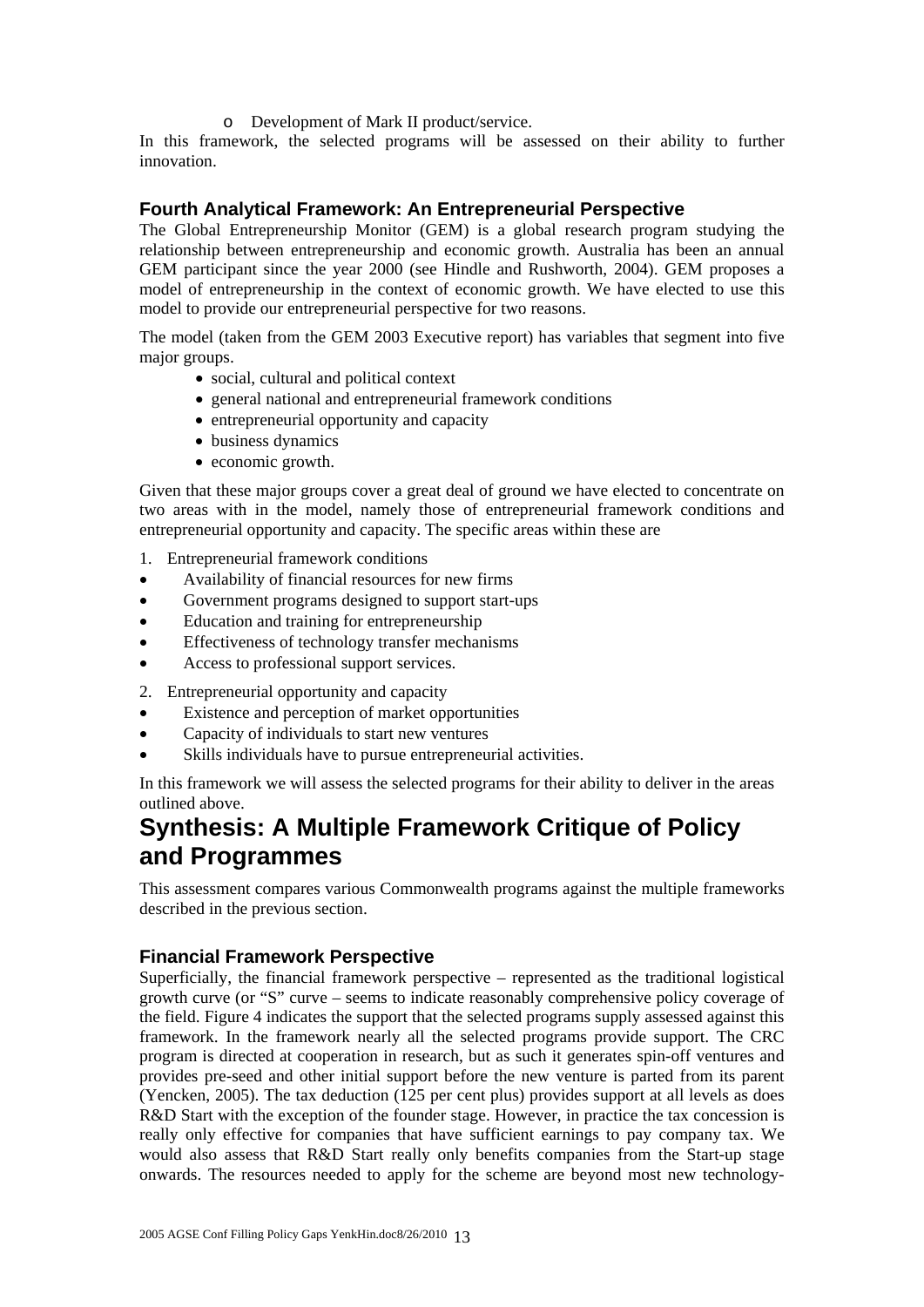#### o Development of Mark II product/service.

In this framework, the selected programs will be assessed on their ability to further innovation.

### **Fourth Analytical Framework: An Entrepreneurial Perspective**

The Global Entrepreneurship Monitor (GEM) is a global research program studying the relationship between entrepreneurship and economic growth. Australia has been an annual GEM participant since the year 2000 (see Hindle and Rushworth, 2004). GEM proposes a model of entrepreneurship in the context of economic growth. We have elected to use this model to provide our entrepreneurial perspective for two reasons.

The model (taken from the GEM 2003 Executive report) has variables that segment into five major groups.

- social, cultural and political context
- general national and entrepreneurial framework conditions
- entrepreneurial opportunity and capacity
- business dynamics
- economic growth.

Given that these major groups cover a great deal of ground we have elected to concentrate on two areas with in the model, namely those of entrepreneurial framework conditions and entrepreneurial opportunity and capacity. The specific areas within these are

- 1. Entrepreneurial framework conditions
- Availability of financial resources for new firms
- Government programs designed to support start-ups
- Education and training for entrepreneurship
- Effectiveness of technology transfer mechanisms
- Access to professional support services.

2. Entrepreneurial opportunity and capacity

- Existence and perception of market opportunities
- Capacity of individuals to start new ventures
- Skills individuals have to pursue entrepreneurial activities.

In this framework we will assess the selected programs for their ability to deliver in the areas outlined above.

## **Synthesis: A Multiple Framework Critique of Policy and Programmes**

This assessment compares various Commonwealth programs against the multiple frameworks described in the previous section.

#### **Financial Framework Perspective**

Superficially, the financial framework perspective – represented as the traditional logistical growth curve (or "S" curve – seems to indicate reasonably comprehensive policy coverage of the field. Figure 4 indicates the support that the selected programs supply assessed against this framework. In the framework nearly all the selected programs provide support. The CRC program is directed at cooperation in research, but as such it generates spin-off ventures and provides pre-seed and other initial support before the new venture is parted from its parent (Yencken, 2005). The tax deduction (125 per cent plus) provides support at all levels as does R&D Start with the exception of the founder stage. However, in practice the tax concession is really only effective for companies that have sufficient earnings to pay company tax. We would also assess that R&D Start really only benefits companies from the Start-up stage onwards. The resources needed to apply for the scheme are beyond most new technology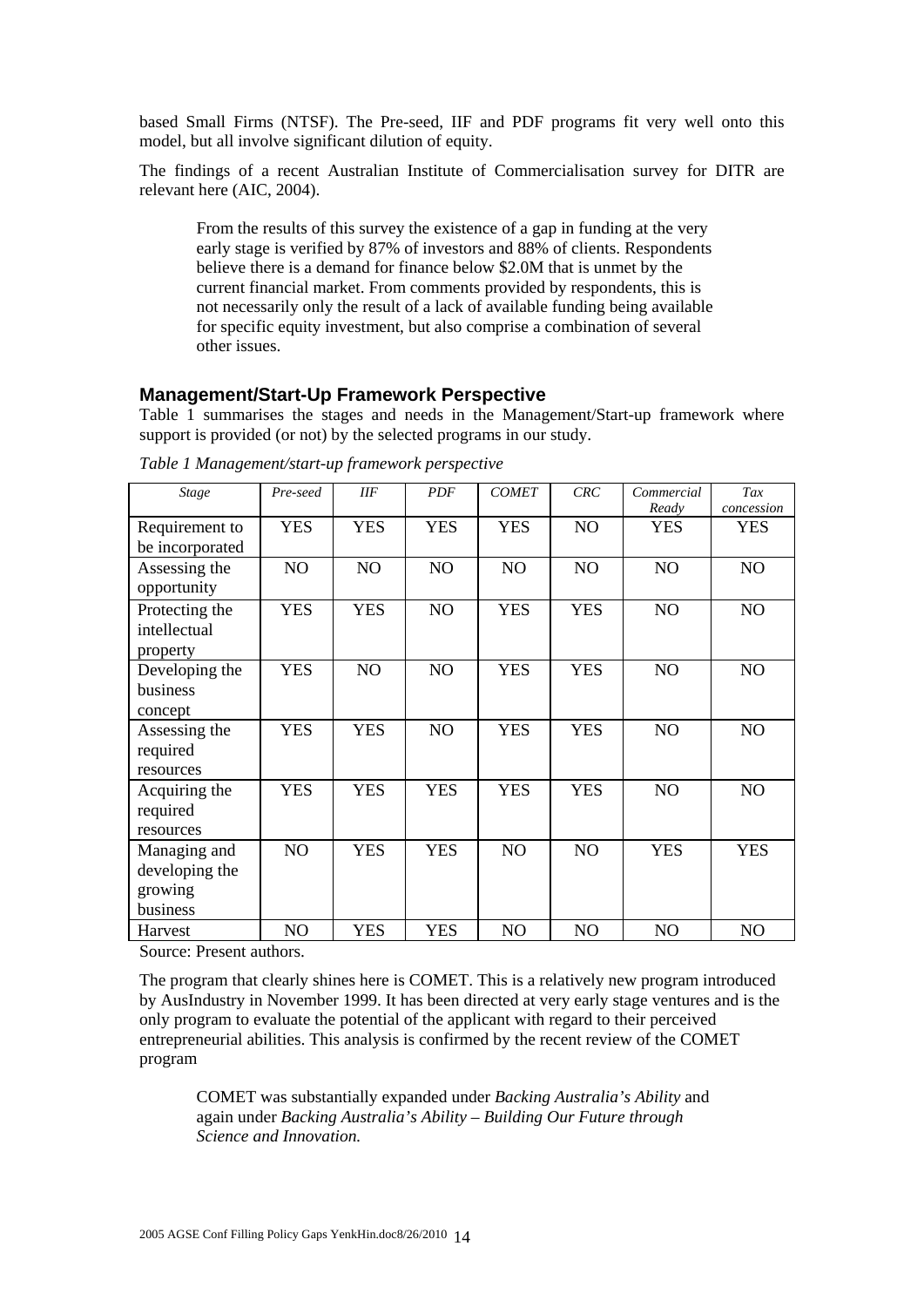based Small Firms (NTSF). The Pre-seed, IIF and PDF programs fit very well onto this model, but all involve significant dilution of equity.

The findings of a recent Australian Institute of Commercialisation survey for DITR are relevant here (AIC, 2004).

From the results of this survey the existence of a gap in funding at the very early stage is verified by 87% of investors and 88% of clients. Respondents believe there is a demand for finance below \$2.0M that is unmet by the current financial market. From comments provided by respondents, this is not necessarily only the result of a lack of available funding being available for specific equity investment, but also comprise a combination of several other issues.

#### **Management/Start-Up Framework Perspective**

Table 1 summarises the stages and needs in the Management/Start-up framework where support is provided (or not) by the selected programs in our study.

| <b>Stage</b>                                          | Pre-seed       | <b>IIF</b>     | <b>PDF</b> | <b>COMET</b> | CRC        | Commercial<br>Ready | Tax<br>concession |
|-------------------------------------------------------|----------------|----------------|------------|--------------|------------|---------------------|-------------------|
| Requirement to<br>be incorporated                     | <b>YES</b>     | <b>YES</b>     | <b>YES</b> | <b>YES</b>   | NO         | <b>YES</b>          | <b>YES</b>        |
| Assessing the<br>opportunity                          | NO             | N <sub>O</sub> | NO         | NO.          | NO         | NO                  | NO                |
| Protecting the<br>intellectual<br>property            | <b>YES</b>     | <b>YES</b>     | NO         | <b>YES</b>   | <b>YES</b> | NO                  | NO                |
| Developing the<br>business<br>concept                 | <b>YES</b>     | N <sub>O</sub> | NO         | <b>YES</b>   | <b>YES</b> | NO                  | NO                |
| Assessing the<br>required<br>resources                | <b>YES</b>     | <b>YES</b>     | NO         | <b>YES</b>   | <b>YES</b> | NO                  | N <sub>O</sub>    |
| Acquiring the<br>required<br>resources                | <b>YES</b>     | <b>YES</b>     | <b>YES</b> | <b>YES</b>   | <b>YES</b> | NO                  | N <sub>O</sub>    |
| Managing and<br>developing the<br>growing<br>business | NO             | <b>YES</b>     | <b>YES</b> | NO           | NO         | <b>YES</b>          | <b>YES</b>        |
| Harvest                                               | N <sub>O</sub> | <b>YES</b>     | <b>YES</b> | NO           | NO         | NO                  | N <sub>O</sub>    |

*Table 1 Management/start-up framework perspective* 

Source: Present authors.

The program that clearly shines here is COMET. This is a relatively new program introduced by AusIndustry in November 1999. It has been directed at very early stage ventures and is the only program to evaluate the potential of the applicant with regard to their perceived entrepreneurial abilities. This analysis is confirmed by the recent review of the COMET program

COMET was substantially expanded under *Backing Australia's Ability* and again under *Backing Australia's Ability – Building Our Future through Science and Innovation.*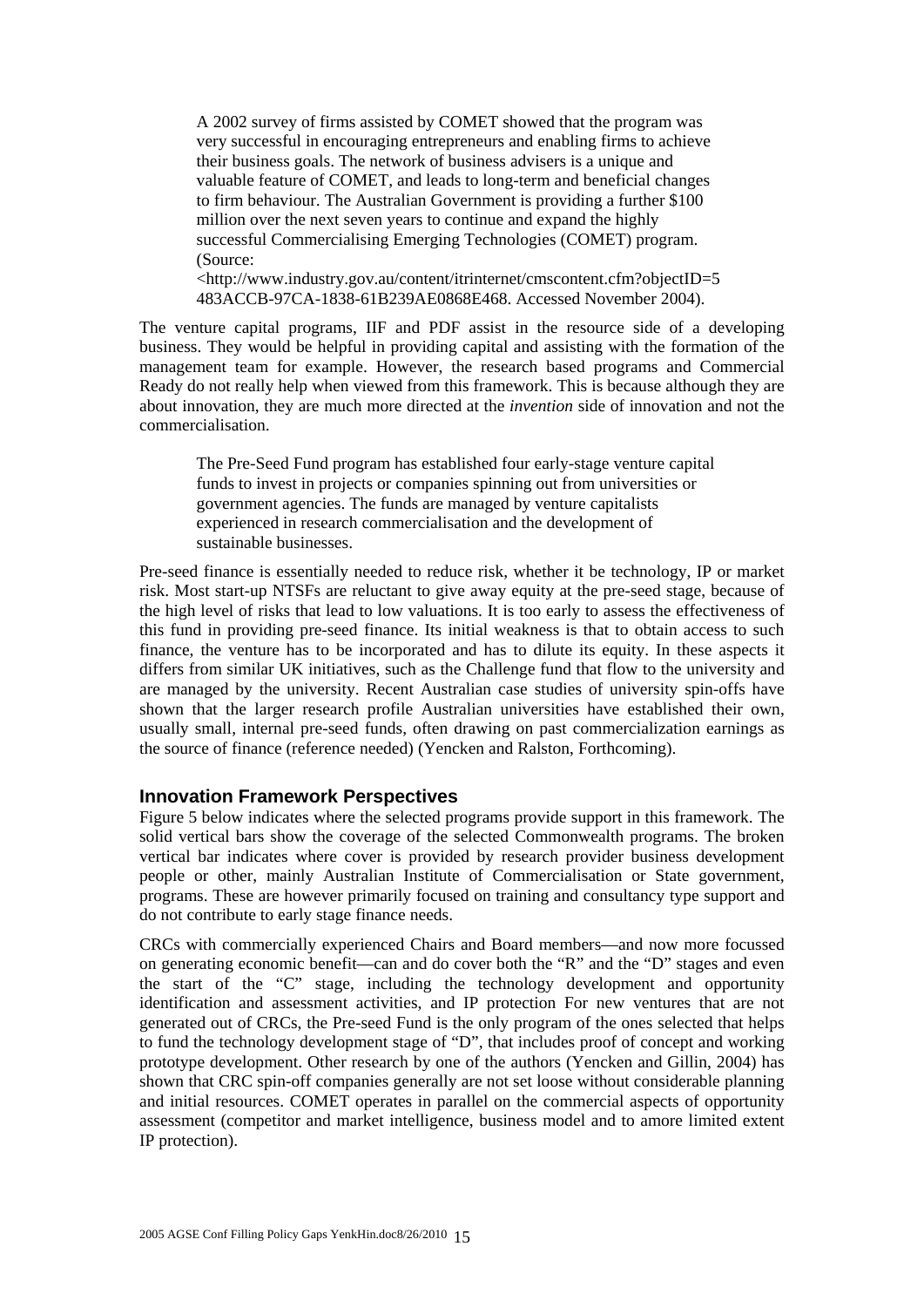A 2002 survey of firms assisted by COMET showed that the program was very successful in encouraging entrepreneurs and enabling firms to achieve their business goals. The network of business advisers is a unique and valuable feature of COMET, and leads to long-term and beneficial changes to firm behaviour. The Australian Government is providing a further \$100 million over the next seven years to continue and expand the highly successful Commercialising Emerging Technologies (COMET) program. (Source:

<http://www.industry.gov.au/content/itrinternet/cmscontent.cfm?objectID=5 483ACCB-97CA-1838-61B239AE0868E468. Accessed November 2004).

The venture capital programs, IIF and PDF assist in the resource side of a developing business. They would be helpful in providing capital and assisting with the formation of the management team for example. However, the research based programs and Commercial Ready do not really help when viewed from this framework. This is because although they are about innovation, they are much more directed at the *invention* side of innovation and not the commercialisation.

The Pre-Seed Fund program has established four early-stage venture capital funds to invest in projects or companies spinning out from universities or government agencies. The funds are managed by venture capitalists experienced in research commercialisation and the development of sustainable businesses.

Pre-seed finance is essentially needed to reduce risk, whether it be technology, IP or market risk. Most start-up NTSFs are reluctant to give away equity at the pre-seed stage, because of the high level of risks that lead to low valuations. It is too early to assess the effectiveness of this fund in providing pre-seed finance. Its initial weakness is that to obtain access to such finance, the venture has to be incorporated and has to dilute its equity. In these aspects it differs from similar UK initiatives, such as the Challenge fund that flow to the university and are managed by the university. Recent Australian case studies of university spin-offs have shown that the larger research profile Australian universities have established their own, usually small, internal pre-seed funds, often drawing on past commercialization earnings as the source of finance (reference needed) (Yencken and Ralston, Forthcoming).

#### **Innovation Framework Perspectives**

Figure 5 below indicates where the selected programs provide support in this framework. The solid vertical bars show the coverage of the selected Commonwealth programs. The broken vertical bar indicates where cover is provided by research provider business development people or other, mainly Australian Institute of Commercialisation or State government, programs. These are however primarily focused on training and consultancy type support and do not contribute to early stage finance needs.

CRCs with commercially experienced Chairs and Board members—and now more focussed on generating economic benefit—can and do cover both the "R" and the "D" stages and even the start of the "C" stage, including the technology development and opportunity identification and assessment activities, and IP protection For new ventures that are not generated out of CRCs, the Pre-seed Fund is the only program of the ones selected that helps to fund the technology development stage of "D", that includes proof of concept and working prototype development. Other research by one of the authors (Yencken and Gillin, 2004) has shown that CRC spin-off companies generally are not set loose without considerable planning and initial resources. COMET operates in parallel on the commercial aspects of opportunity assessment (competitor and market intelligence, business model and to amore limited extent IP protection).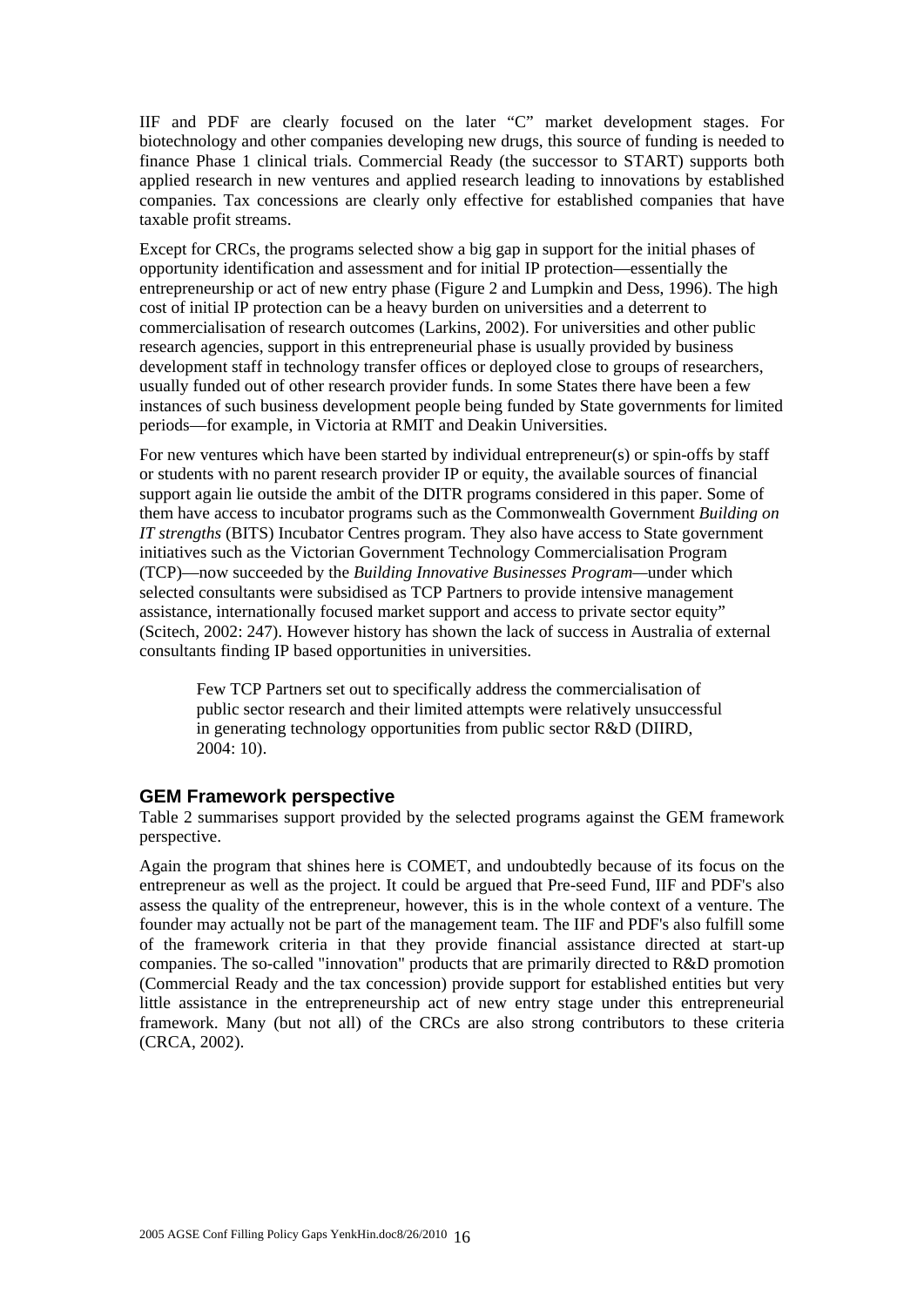IIF and PDF are clearly focused on the later "C" market development stages. For biotechnology and other companies developing new drugs, this source of funding is needed to finance Phase 1 clinical trials. Commercial Ready (the successor to START) supports both applied research in new ventures and applied research leading to innovations by established companies. Tax concessions are clearly only effective for established companies that have taxable profit streams.

Except for CRCs, the programs selected show a big gap in support for the initial phases of opportunity identification and assessment and for initial IP protection—essentially the entrepreneurship or act of new entry phase (Figure 2 and Lumpkin and Dess, 1996). The high cost of initial IP protection can be a heavy burden on universities and a deterrent to commercialisation of research outcomes (Larkins, 2002). For universities and other public research agencies, support in this entrepreneurial phase is usually provided by business development staff in technology transfer offices or deployed close to groups of researchers, usually funded out of other research provider funds. In some States there have been a few instances of such business development people being funded by State governments for limited periods—for example, in Victoria at RMIT and Deakin Universities.

For new ventures which have been started by individual entrepreneur(s) or spin-offs by staff or students with no parent research provider IP or equity, the available sources of financial support again lie outside the ambit of the DITR programs considered in this paper. Some of them have access to incubator programs such as the Commonwealth Government *Building on IT strengths* (BITS) Incubator Centres program. They also have access to State government initiatives such as the Victorian Government Technology Commercialisation Program (TCP)—now succeeded by the *Building Innovative Businesses Program—*under which selected consultants were subsidised as TCP Partners to provide intensive management assistance, internationally focused market support and access to private sector equity" (Scitech, 2002: 247). However history has shown the lack of success in Australia of external consultants finding IP based opportunities in universities.

Few TCP Partners set out to specifically address the commercialisation of public sector research and their limited attempts were relatively unsuccessful in generating technology opportunities from public sector R&D (DIIRD, 2004: 10).

#### **GEM Framework perspective**

Table 2 summarises support provided by the selected programs against the GEM framework perspective.

Again the program that shines here is COMET, and undoubtedly because of its focus on the entrepreneur as well as the project. It could be argued that Pre-seed Fund, IIF and PDF's also assess the quality of the entrepreneur, however, this is in the whole context of a venture. The founder may actually not be part of the management team. The IIF and PDF's also fulfill some of the framework criteria in that they provide financial assistance directed at start-up companies. The so-called "innovation" products that are primarily directed to R&D promotion (Commercial Ready and the tax concession) provide support for established entities but very little assistance in the entrepreneurship act of new entry stage under this entrepreneurial framework. Many (but not all) of the CRCs are also strong contributors to these criteria (CRCA, 2002).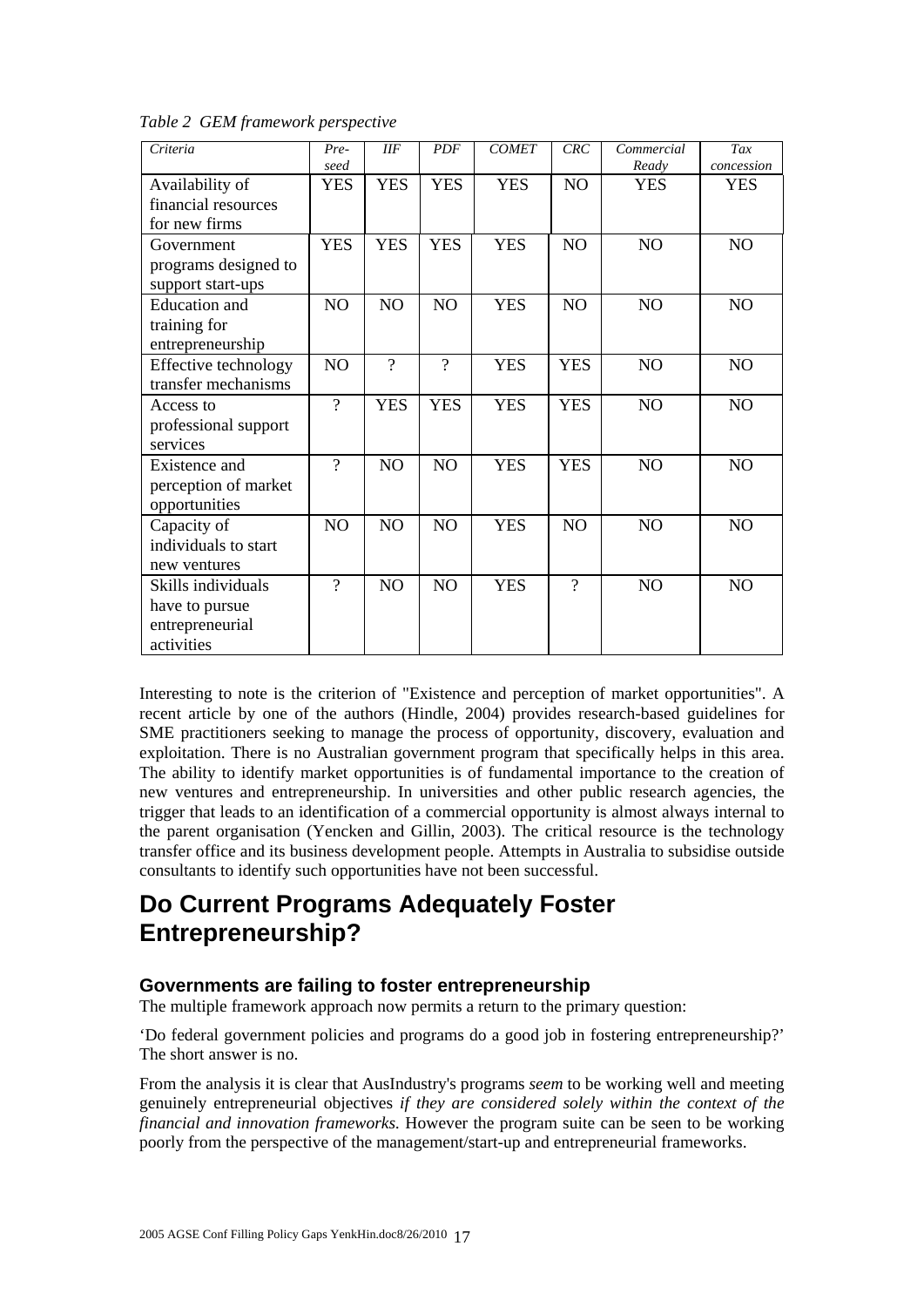| Criteria             | Pre-           | IIF            | <b>PDF</b>     | <b>COMET</b> | CRC            | Commercial     | Tax            |
|----------------------|----------------|----------------|----------------|--------------|----------------|----------------|----------------|
|                      | seed           |                |                |              |                | Ready          | concession     |
| Availability of      | <b>YES</b>     | <b>YES</b>     | <b>YES</b>     | <b>YES</b>   | N <sub>O</sub> | <b>YES</b>     | <b>YES</b>     |
| financial resources  |                |                |                |              |                |                |                |
| for new firms        |                |                |                |              |                |                |                |
| Government           | <b>YES</b>     | <b>YES</b>     | <b>YES</b>     | <b>YES</b>   | NO.            | N <sub>O</sub> | N <sub>O</sub> |
| programs designed to |                |                |                |              |                |                |                |
| support start-ups    |                |                |                |              |                |                |                |
| Education and        | NO             | NO             | NO             | <b>YES</b>   | N <sub>O</sub> | NO             | N <sub>O</sub> |
| training for         |                |                |                |              |                |                |                |
| entrepreneurship     |                |                |                |              |                |                |                |
| Effective technology | NO             | $\gamma$       | $\gamma$       | <b>YES</b>   | <b>YES</b>     | N <sub>O</sub> | N <sub>O</sub> |
| transfer mechanisms  |                |                |                |              |                |                |                |
| Access to            | $\gamma$       | <b>YES</b>     | <b>YES</b>     | <b>YES</b>   | <b>YES</b>     | <b>NO</b>      | N <sub>O</sub> |
| professional support |                |                |                |              |                |                |                |
| services             |                |                |                |              |                |                |                |
| Existence and        | $\gamma$       | N <sub>O</sub> | N <sub>O</sub> | <b>YES</b>   | <b>YES</b>     | N <sub>O</sub> | N <sub>O</sub> |
| perception of market |                |                |                |              |                |                |                |
| opportunities        |                |                |                |              |                |                |                |
| Capacity of          | N <sub>O</sub> | N <sub>O</sub> | N <sub>O</sub> | <b>YES</b>   | NO             | N <sub>O</sub> | N <sub>O</sub> |
| individuals to start |                |                |                |              |                |                |                |
| new ventures         |                |                |                |              |                |                |                |
| Skills individuals   | $\gamma$       | N <sub>O</sub> | N <sub>O</sub> | <b>YES</b>   | $\gamma$       | N <sub>O</sub> | N <sub>O</sub> |
| have to pursue       |                |                |                |              |                |                |                |
| entrepreneurial      |                |                |                |              |                |                |                |
| activities           |                |                |                |              |                |                |                |

*Table 2 GEM framework perspective* 

Interesting to note is the criterion of "Existence and perception of market opportunities". A recent article by one of the authors (Hindle, 2004) provides research-based guidelines for SME practitioners seeking to manage the process of opportunity, discovery, evaluation and exploitation. There is no Australian government program that specifically helps in this area. The ability to identify market opportunities is of fundamental importance to the creation of new ventures and entrepreneurship. In universities and other public research agencies, the trigger that leads to an identification of a commercial opportunity is almost always internal to the parent organisation (Yencken and Gillin, 2003). The critical resource is the technology transfer office and its business development people. Attempts in Australia to subsidise outside consultants to identify such opportunities have not been successful.

## **Do Current Programs Adequately Foster Entrepreneurship?**

### **Governments are failing to foster entrepreneurship**

The multiple framework approach now permits a return to the primary question:

'Do federal government policies and programs do a good job in fostering entrepreneurship?' The short answer is no.

From the analysis it is clear that AusIndustry's programs *seem* to be working well and meeting genuinely entrepreneurial objectives *if they are considered solely within the context of the financial and innovation frameworks.* However the program suite can be seen to be working poorly from the perspective of the management/start-up and entrepreneurial frameworks.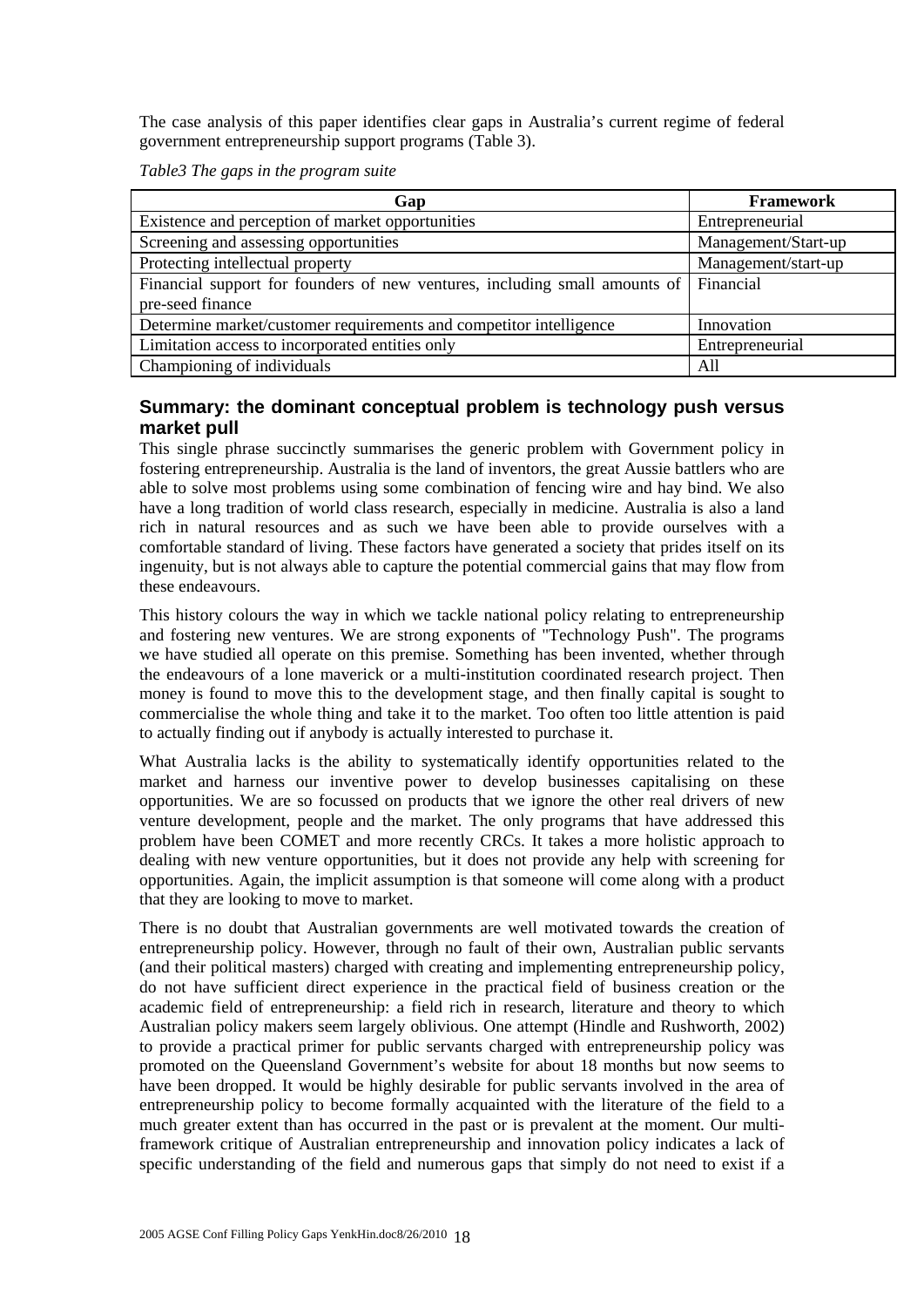The case analysis of this paper identifies clear gaps in Australia's current regime of federal government entrepreneurship support programs (Table 3).

*Table3 The gaps in the program suite* 

| Gap                                                                                  | <b>Framework</b>    |  |  |
|--------------------------------------------------------------------------------------|---------------------|--|--|
| Existence and perception of market opportunities                                     | Entrepreneurial     |  |  |
| Screening and assessing opportunities                                                | Management/Start-up |  |  |
| Protecting intellectual property                                                     | Management/start-up |  |  |
| Financial support for founders of new ventures, including small amounts of Financial |                     |  |  |
| pre-seed finance                                                                     |                     |  |  |
| Determine market/customer requirements and competitor intelligence                   | Innovation          |  |  |
| Limitation access to incorporated entities only                                      | Entrepreneurial     |  |  |
| Championing of individuals                                                           | All                 |  |  |

### **Summary: the dominant conceptual problem is technology push versus market pull**

This single phrase succinctly summarises the generic problem with Government policy in fostering entrepreneurship. Australia is the land of inventors, the great Aussie battlers who are able to solve most problems using some combination of fencing wire and hay bind. We also have a long tradition of world class research, especially in medicine. Australia is also a land rich in natural resources and as such we have been able to provide ourselves with a comfortable standard of living. These factors have generated a society that prides itself on its ingenuity, but is not always able to capture the potential commercial gains that may flow from these endeavours.

This history colours the way in which we tackle national policy relating to entrepreneurship and fostering new ventures. We are strong exponents of "Technology Push". The programs we have studied all operate on this premise. Something has been invented, whether through the endeavours of a lone maverick or a multi-institution coordinated research project. Then money is found to move this to the development stage, and then finally capital is sought to commercialise the whole thing and take it to the market. Too often too little attention is paid to actually finding out if anybody is actually interested to purchase it.

What Australia lacks is the ability to systematically identify opportunities related to the market and harness our inventive power to develop businesses capitalising on these opportunities. We are so focussed on products that we ignore the other real drivers of new venture development, people and the market. The only programs that have addressed this problem have been COMET and more recently CRCs. It takes a more holistic approach to dealing with new venture opportunities, but it does not provide any help with screening for opportunities. Again, the implicit assumption is that someone will come along with a product that they are looking to move to market.

There is no doubt that Australian governments are well motivated towards the creation of entrepreneurship policy. However, through no fault of their own, Australian public servants (and their political masters) charged with creating and implementing entrepreneurship policy, do not have sufficient direct experience in the practical field of business creation or the academic field of entrepreneurship: a field rich in research, literature and theory to which Australian policy makers seem largely oblivious. One attempt (Hindle and Rushworth, 2002) to provide a practical primer for public servants charged with entrepreneurship policy was promoted on the Queensland Government's website for about 18 months but now seems to have been dropped. It would be highly desirable for public servants involved in the area of entrepreneurship policy to become formally acquainted with the literature of the field to a much greater extent than has occurred in the past or is prevalent at the moment. Our multiframework critique of Australian entrepreneurship and innovation policy indicates a lack of specific understanding of the field and numerous gaps that simply do not need to exist if a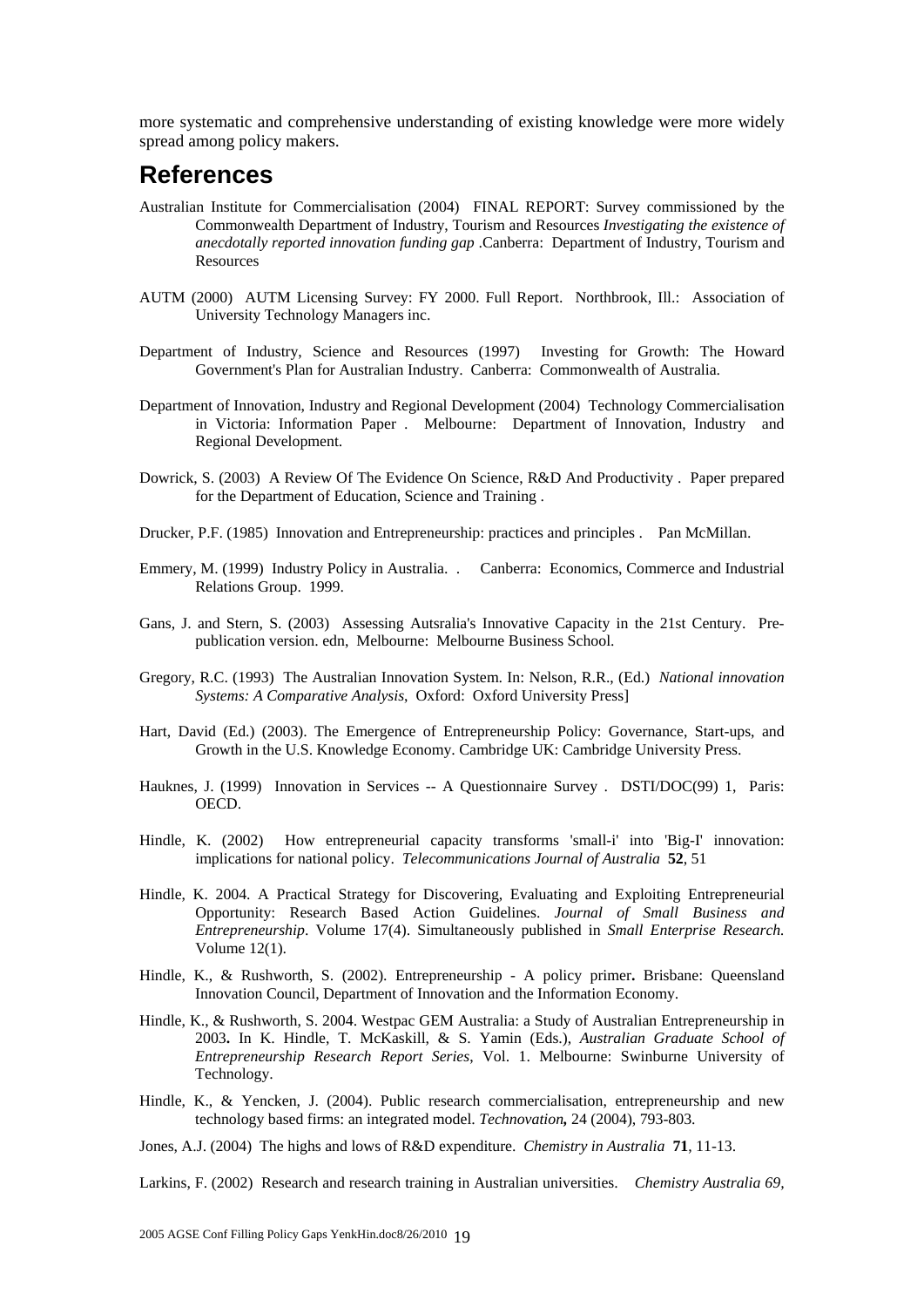more systematic and comprehensive understanding of existing knowledge were more widely spread among policy makers.

## **References**

- Australian Institute for Commercialisation (2004) FINAL REPORT: Survey commissioned by the Commonwealth Department of Industry, Tourism and Resources *Investigating the existence of anecdotally reported innovation funding gap* .Canberra: Department of Industry, Tourism and **Resources**
- AUTM (2000) AUTM Licensing Survey: FY 2000. Full Report. Northbrook, Ill.: Association of University Technology Managers inc.
- Department of Industry, Science and Resources (1997) Investing for Growth: The Howard Government's Plan for Australian Industry. Canberra: Commonwealth of Australia.
- Department of Innovation, Industry and Regional Development (2004) Technology Commercialisation in Victoria: Information Paper . Melbourne: Department of Innovation, Industry and Regional Development.
- Dowrick, S. (2003) A Review Of The Evidence On Science, R&D And Productivity . Paper prepared for the Department of Education, Science and Training .
- Drucker, P.F. (1985) Innovation and Entrepreneurship: practices and principles . Pan McMillan.
- Emmery, M. (1999) Industry Policy in Australia. . Canberra: Economics, Commerce and Industrial Relations Group. 1999.
- Gans, J. and Stern, S. (2003) Assessing Autsralia's Innovative Capacity in the 21st Century. Prepublication version. edn, Melbourne: Melbourne Business School.
- Gregory, R.C. (1993) The Australian Innovation System. In: Nelson, R.R., (Ed.) *National innovation Systems: A Comparative Analysis*, Oxford: Oxford University Press]
- Hart, David (Ed.) (2003). The Emergence of Entrepreneurship Policy: Governance, Start-ups, and Growth in the U.S. Knowledge Economy. Cambridge UK: Cambridge University Press.
- Hauknes, J. (1999) Innovation in Services -- A Questionnaire Survey . DSTI/DOC(99) 1, Paris: OECD.
- Hindle, K. (2002) How entrepreneurial capacity transforms 'small-i' into 'Big-I' innovation: implications for national policy. *Telecommunications Journal of Australia* **52**, 51
- Hindle, K. 2004. A Practical Strategy for Discovering, Evaluating and Exploiting Entrepreneurial Opportunity: Research Based Action Guidelines. *Journal of Small Business and Entrepreneurship*. Volume 17(4). Simultaneously published in *Small Enterprise Research.* Volume 12(1).
- Hindle, K., & Rushworth, S. (2002). Entrepreneurship A policy primer**.** Brisbane: Queensland Innovation Council, Department of Innovation and the Information Economy.
- Hindle, K., & Rushworth, S. 2004. Westpac GEM Australia: a Study of Australian Entrepreneurship in 2003**.** In K. Hindle, T. McKaskill, & S. Yamin (Eds.), *Australian Graduate School of Entrepreneurship Research Report Series*, Vol. 1. Melbourne: Swinburne University of Technology.
- Hindle, K., & Yencken, J. (2004). Public research commercialisation, entrepreneurship and new technology based firms: an integrated model. *Technovation,* 24 (2004), 793-803.
- Jones, A.J. (2004) The highs and lows of R&D expenditure. *Chemistry in Australia* **71**, 11-13.

Larkins, F. (2002) Research and research training in Australian universities. *Chemistry Australia 69,*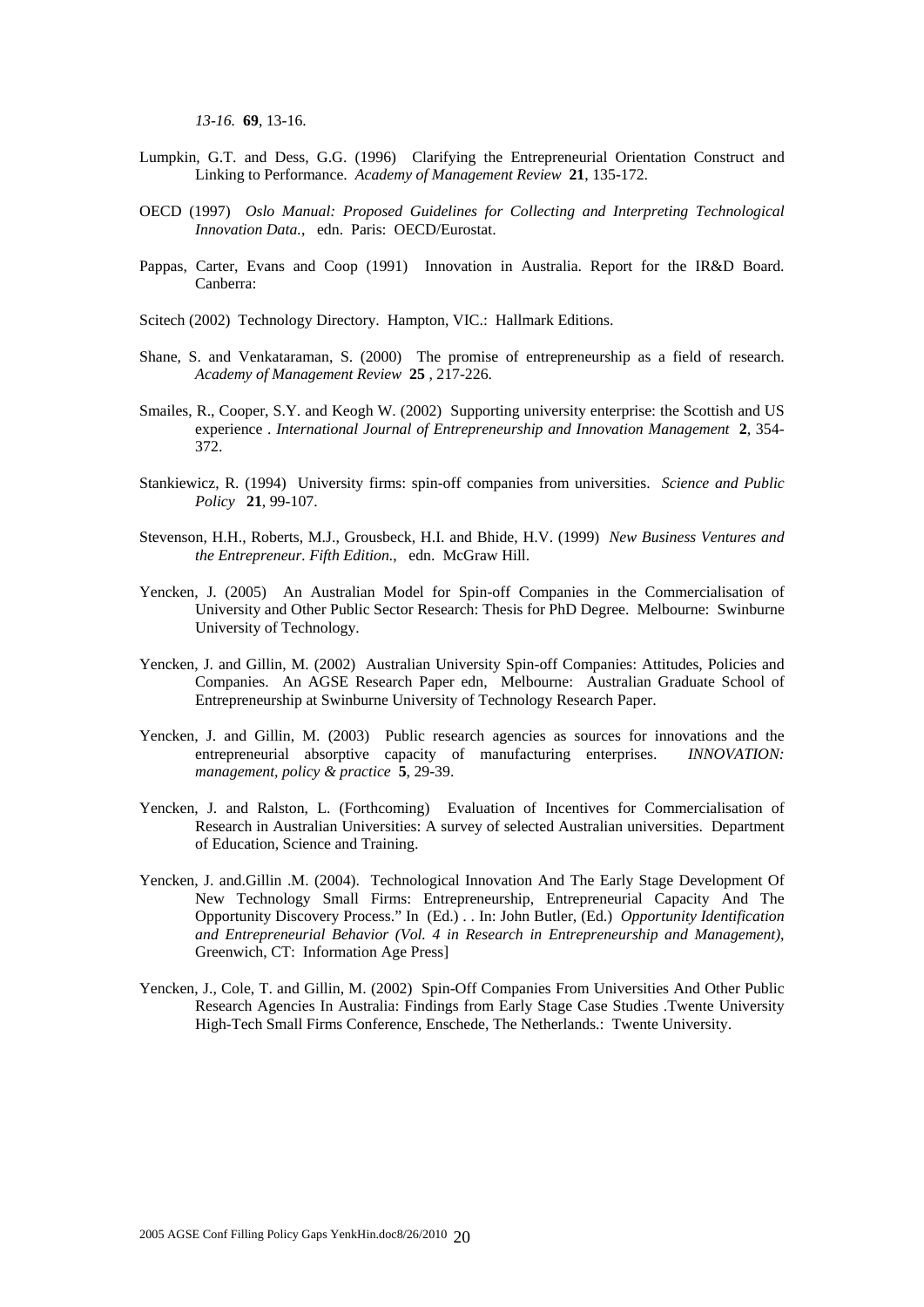*13-16.* **69**, 13-16.

- Lumpkin, G.T. and Dess, G.G. (1996) Clarifying the Entrepreneurial Orientation Construct and Linking to Performance. *Academy of Management Review* **21**, 135-172.
- OECD (1997) *Oslo Manual: Proposed Guidelines for Collecting and Interpreting Technological Innovation Data.*, edn. Paris: OECD/Eurostat.
- Pappas, Carter, Evans and Coop (1991) Innovation in Australia. Report for the IR&D Board. Canberra:
- Scitech (2002) Technology Directory. Hampton, VIC.: Hallmark Editions.
- Shane, S. and Venkataraman, S. (2000) The promise of entrepreneurship as a field of research. *Academy of Management Review* **25** , 217-226.
- Smailes, R., Cooper, S.Y. and Keogh W. (2002) Supporting university enterprise: the Scottish and US experience . *International Journal of Entrepreneurship and Innovation Management* **2**, 354- 372.
- Stankiewicz, R. (1994) University firms: spin-off companies from universities. *Science and Public Policy* **21**, 99-107.
- Stevenson, H.H., Roberts, M.J., Grousbeck, H.I. and Bhide, H.V. (1999) *New Business Ventures and the Entrepreneur. Fifth Edition.*, edn. McGraw Hill.
- Yencken, J. (2005) An Australian Model for Spin-off Companies in the Commercialisation of University and Other Public Sector Research: Thesis for PhD Degree. Melbourne: Swinburne University of Technology.
- Yencken, J. and Gillin, M. (2002) Australian University Spin-off Companies: Attitudes, Policies and Companies. An AGSE Research Paper edn, Melbourne: Australian Graduate School of Entrepreneurship at Swinburne University of Technology Research Paper.
- Yencken, J. and Gillin, M. (2003) Public research agencies as sources for innovations and the entrepreneurial absorptive capacity of manufacturing enterprises. *INNOVATION: management, policy & practice* **5**, 29-39.
- Yencken, J. and Ralston, L. (Forthcoming) Evaluation of Incentives for Commercialisation of Research in Australian Universities: A survey of selected Australian universities. Department of Education, Science and Training.
- Yencken, J. and.Gillin .M. (2004). Technological Innovation And The Early Stage Development Of New Technology Small Firms: Entrepreneurship, Entrepreneurial Capacity And The Opportunity Discovery Process." In (Ed.) . . In: John Butler, (Ed.) *Opportunity Identification and Entrepreneurial Behavior (Vol. 4 in Research in Entrepreneurship and Management)*, Greenwich, CT: Information Age Press]
- Yencken, J., Cole, T. and Gillin, M. (2002) Spin-Off Companies From Universities And Other Public Research Agencies In Australia: Findings from Early Stage Case Studies .Twente University High-Tech Small Firms Conference, Enschede, The Netherlands.: Twente University.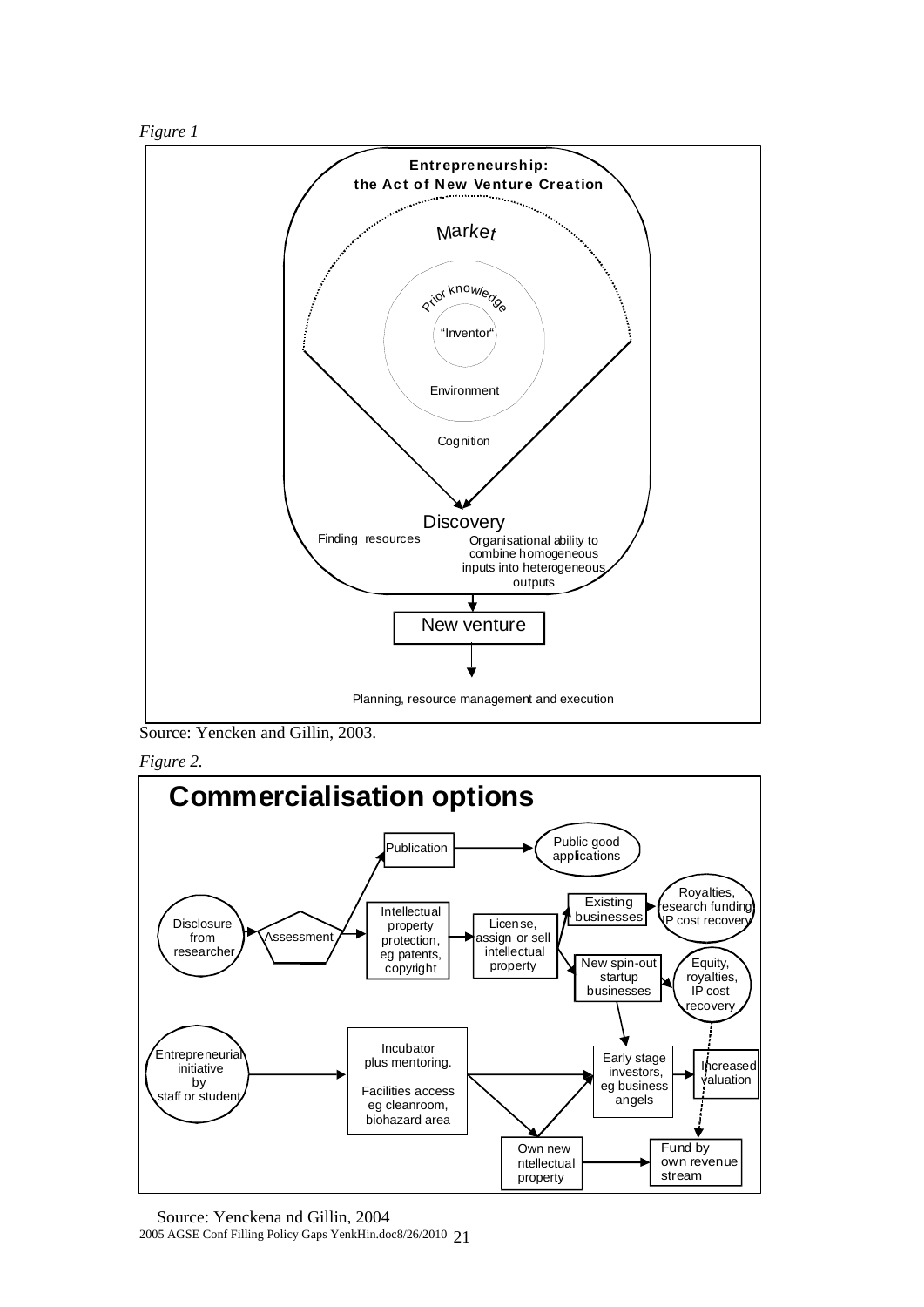



Source: Yencken and Gillin, 2003.



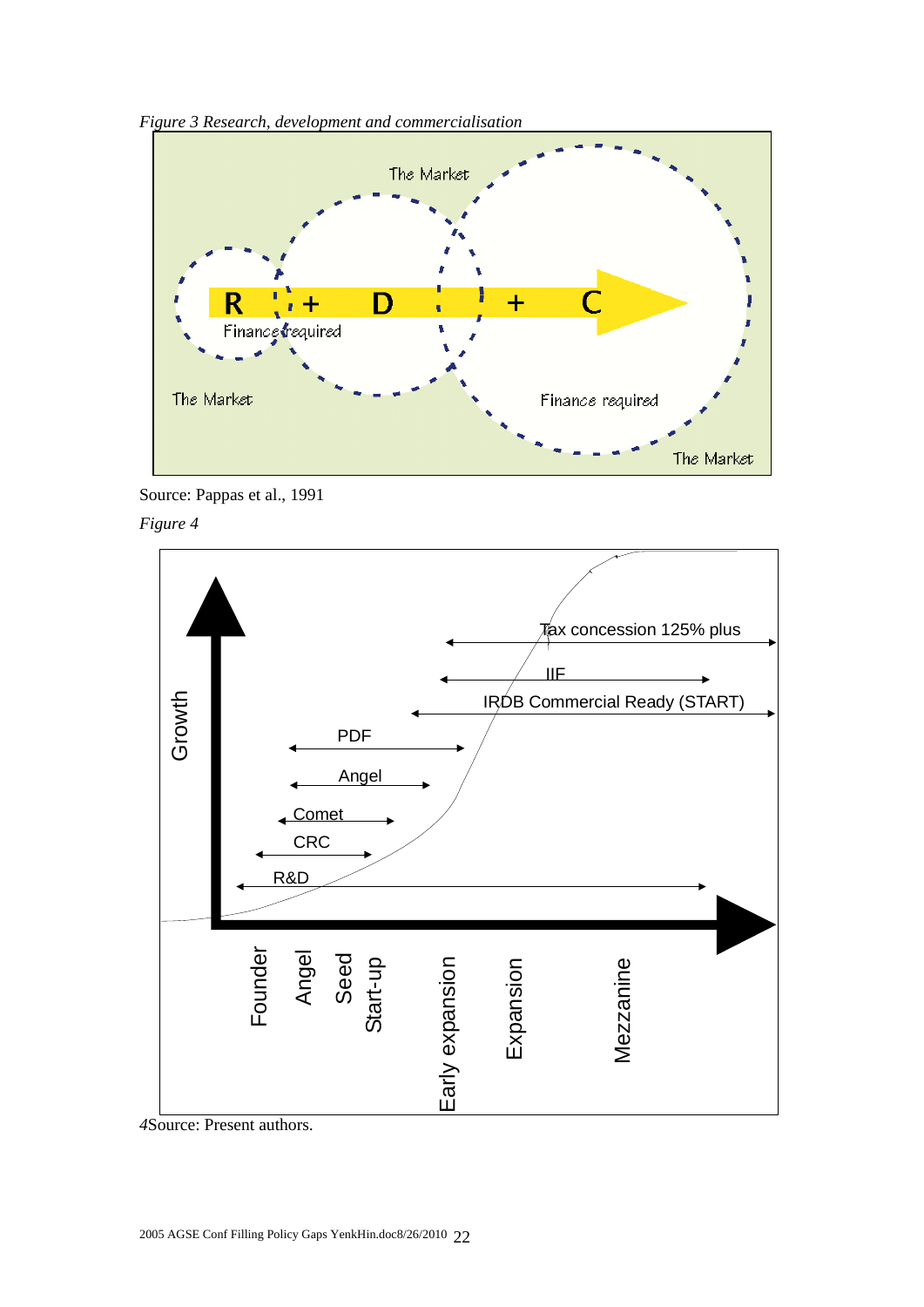

*Figure 3 Research, development and commercialisation* 



*Figure 4*